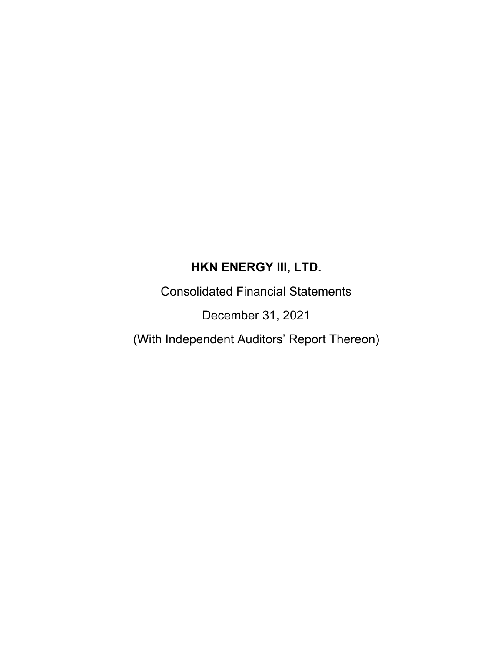Consolidated Financial Statements

December 31, 2021

(With Independent Auditors' Report Thereon)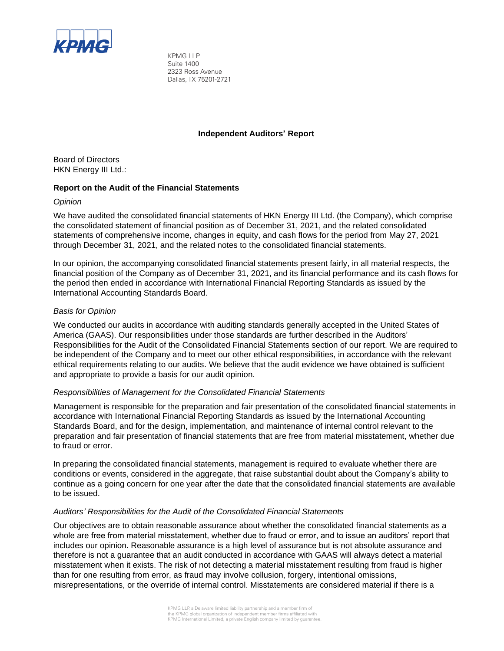

KPMG LLP Suite 1400 2323 Ross Avenue Dallas, TX 75201-2721

#### **Independent Auditors' Report**

Board of Directors HKN Energy III Ltd.:

#### **Report on the Audit of the Financial Statements**

#### *Opinion*

We have audited the consolidated financial statements of HKN Energy III Ltd. (the Company), which comprise the consolidated statement of financial position as of December 31, 2021, and the related consolidated statements of comprehensive income, changes in equity, and cash flows for the period from May 27, 2021 through December 31, 2021, and the related notes to the consolidated financial statements.

In our opinion, the accompanying consolidated financial statements present fairly, in all material respects, the financial position of the Company as of December 31, 2021, and its financial performance and its cash flows for the period then ended in accordance with International Financial Reporting Standards as issued by the International Accounting Standards Board.

#### *Basis for Opinion*

We conducted our audits in accordance with auditing standards generally accepted in the United States of America (GAAS). Our responsibilities under those standards are further described in the Auditors' Responsibilities for the Audit of the Consolidated Financial Statements section of our report. We are required to be independent of the Company and to meet our other ethical responsibilities, in accordance with the relevant ethical requirements relating to our audits. We believe that the audit evidence we have obtained is sufficient and appropriate to provide a basis for our audit opinion.

#### *Responsibilities of Management for the Consolidated Financial Statements*

Management is responsible for the preparation and fair presentation of the consolidated financial statements in accordance with International Financial Reporting Standards as issued by the International Accounting Standards Board, and for the design, implementation, and maintenance of internal control relevant to the preparation and fair presentation of financial statements that are free from material misstatement, whether due to fraud or error.

In preparing the consolidated financial statements, management is required to evaluate whether there are conditions or events, considered in the aggregate, that raise substantial doubt about the Company's ability to continue as a going concern for one year after the date that the consolidated financial statements are available to be issued.

#### *Auditors' Responsibilities for the Audit of the Consolidated Financial Statements*

Our objectives are to obtain reasonable assurance about whether the consolidated financial statements as a whole are free from material misstatement, whether due to fraud or error, and to issue an auditors' report that includes our opinion. Reasonable assurance is a high level of assurance but is not absolute assurance and therefore is not a guarantee that an audit conducted in accordance with GAAS will always detect a material misstatement when it exists. The risk of not detecting a material misstatement resulting from fraud is higher than for one resulting from error, as fraud may involve collusion, forgery, intentional omissions, misrepresentations, or the override of internal control. Misstatements are considered material if there is a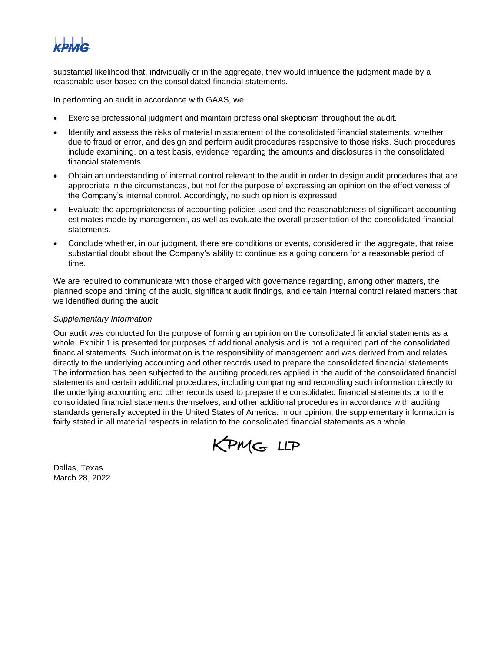

substantial likelihood that, individually or in the aggregate, they would influence the judgment made by a reasonable user based on the consolidated financial statements.

In performing an audit in accordance with GAAS, we:

- Exercise professional judgment and maintain professional skepticism throughout the audit.
- Identify and assess the risks of material misstatement of the consolidated financial statements, whether due to fraud or error, and design and perform audit procedures responsive to those risks. Such procedures include examining, on a test basis, evidence regarding the amounts and disclosures in the consolidated financial statements.
- Obtain an understanding of internal control relevant to the audit in order to design audit procedures that are appropriate in the circumstances, but not for the purpose of expressing an opinion on the effectiveness of the Company's internal control. Accordingly, no such opinion is expressed.
- Evaluate the appropriateness of accounting policies used and the reasonableness of significant accounting estimates made by management, as well as evaluate the overall presentation of the consolidated financial statements.
- Conclude whether, in our judgment, there are conditions or events, considered in the aggregate, that raise substantial doubt about the Company's ability to continue as a going concern for a reasonable period of time.

We are required to communicate with those charged with governance regarding, among other matters, the planned scope and timing of the audit, significant audit findings, and certain internal control related matters that we identified during the audit.

#### *Supplementary Information*

Our audit was conducted for the purpose of forming an opinion on the consolidated financial statements as a whole. Exhibit 1 is presented for purposes of additional analysis and is not a required part of the consolidated financial statements. Such information is the responsibility of management and was derived from and relates directly to the underlying accounting and other records used to prepare the consolidated financial statements. The information has been subjected to the auditing procedures applied in the audit of the consolidated financial statements and certain additional procedures, including comparing and reconciling such information directly to the underlying accounting and other records used to prepare the consolidated financial statements or to the consolidated financial statements themselves, and other additional procedures in accordance with auditing standards generally accepted in the United States of America. In our opinion, the supplementary information is fairly stated in all material respects in relation to the consolidated financial statements as a whole.



Dallas, Texas March 28, 2022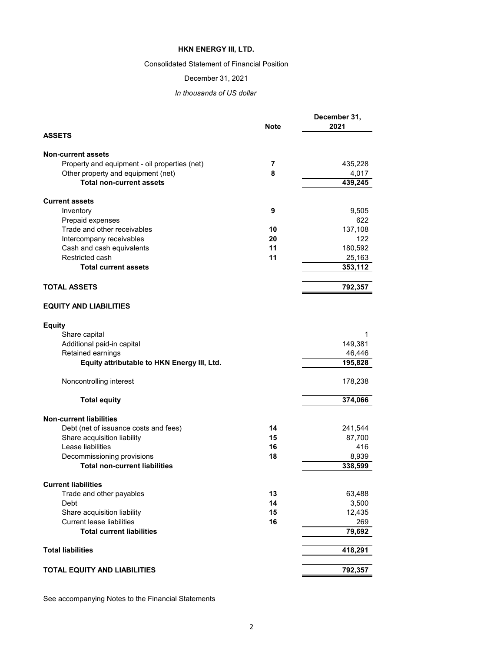### Consolidated Statement of Financial Position

### December 31, 2021

# *In thousands of US dollar*

| <b>ASSETS</b><br><b>Non-current assets</b><br>Property and equipment - oil properties (net)<br>7<br>Other property and equipment (net)<br>8<br><b>Total non-current assets</b><br><b>Current assets</b><br>9<br>Inventory<br>Prepaid expenses<br>Trade and other receivables<br>10<br>Intercompany receivables<br>20<br>Cash and cash equivalents<br>11<br>Restricted cash<br>11<br><b>Total current assets</b><br><b>TOTAL ASSETS</b><br><b>EQUITY AND LIABILITIES</b><br><b>Equity</b><br>Share capital<br>Additional paid-in capital | 435,228 |
|-----------------------------------------------------------------------------------------------------------------------------------------------------------------------------------------------------------------------------------------------------------------------------------------------------------------------------------------------------------------------------------------------------------------------------------------------------------------------------------------------------------------------------------------|---------|
|                                                                                                                                                                                                                                                                                                                                                                                                                                                                                                                                         |         |
|                                                                                                                                                                                                                                                                                                                                                                                                                                                                                                                                         |         |
|                                                                                                                                                                                                                                                                                                                                                                                                                                                                                                                                         |         |
|                                                                                                                                                                                                                                                                                                                                                                                                                                                                                                                                         | 4,017   |
|                                                                                                                                                                                                                                                                                                                                                                                                                                                                                                                                         | 439,245 |
|                                                                                                                                                                                                                                                                                                                                                                                                                                                                                                                                         |         |
|                                                                                                                                                                                                                                                                                                                                                                                                                                                                                                                                         | 9,505   |
|                                                                                                                                                                                                                                                                                                                                                                                                                                                                                                                                         | 622     |
|                                                                                                                                                                                                                                                                                                                                                                                                                                                                                                                                         | 137,108 |
|                                                                                                                                                                                                                                                                                                                                                                                                                                                                                                                                         | 122     |
|                                                                                                                                                                                                                                                                                                                                                                                                                                                                                                                                         | 180,592 |
|                                                                                                                                                                                                                                                                                                                                                                                                                                                                                                                                         | 25,163  |
|                                                                                                                                                                                                                                                                                                                                                                                                                                                                                                                                         | 353,112 |
|                                                                                                                                                                                                                                                                                                                                                                                                                                                                                                                                         | 792,357 |
|                                                                                                                                                                                                                                                                                                                                                                                                                                                                                                                                         |         |
|                                                                                                                                                                                                                                                                                                                                                                                                                                                                                                                                         |         |
|                                                                                                                                                                                                                                                                                                                                                                                                                                                                                                                                         | 1       |
|                                                                                                                                                                                                                                                                                                                                                                                                                                                                                                                                         | 149,381 |
| Retained earnings                                                                                                                                                                                                                                                                                                                                                                                                                                                                                                                       | 46,446  |
| Equity attributable to HKN Energy III, Ltd.                                                                                                                                                                                                                                                                                                                                                                                                                                                                                             | 195,828 |
| Noncontrolling interest                                                                                                                                                                                                                                                                                                                                                                                                                                                                                                                 | 178,238 |
| <b>Total equity</b>                                                                                                                                                                                                                                                                                                                                                                                                                                                                                                                     | 374,066 |
| <b>Non-current liabilities</b>                                                                                                                                                                                                                                                                                                                                                                                                                                                                                                          |         |
| Debt (net of issuance costs and fees)<br>14                                                                                                                                                                                                                                                                                                                                                                                                                                                                                             | 241,544 |
| Share acquisition liability<br>15                                                                                                                                                                                                                                                                                                                                                                                                                                                                                                       | 87,700  |
| Lease liabilities<br>16                                                                                                                                                                                                                                                                                                                                                                                                                                                                                                                 | 416     |
| Decommissioning provisions<br>18                                                                                                                                                                                                                                                                                                                                                                                                                                                                                                        | 8,939   |
| <b>Total non-current liabilities</b>                                                                                                                                                                                                                                                                                                                                                                                                                                                                                                    | 338,599 |
| <b>Current liabilities</b>                                                                                                                                                                                                                                                                                                                                                                                                                                                                                                              |         |
| Trade and other payables<br>13                                                                                                                                                                                                                                                                                                                                                                                                                                                                                                          | 63,488  |
| 14<br>Debt                                                                                                                                                                                                                                                                                                                                                                                                                                                                                                                              | 3,500   |
| 15<br>Share acquisition liability                                                                                                                                                                                                                                                                                                                                                                                                                                                                                                       | 12,435  |
| <b>Current lease liabilities</b><br>16                                                                                                                                                                                                                                                                                                                                                                                                                                                                                                  | 269     |
| <b>Total current liabilities</b>                                                                                                                                                                                                                                                                                                                                                                                                                                                                                                        | 79,692  |
| <b>Total liabilities</b>                                                                                                                                                                                                                                                                                                                                                                                                                                                                                                                | 418,291 |
| <b>TOTAL EQUITY AND LIABILITIES</b><br>792,357                                                                                                                                                                                                                                                                                                                                                                                                                                                                                          |         |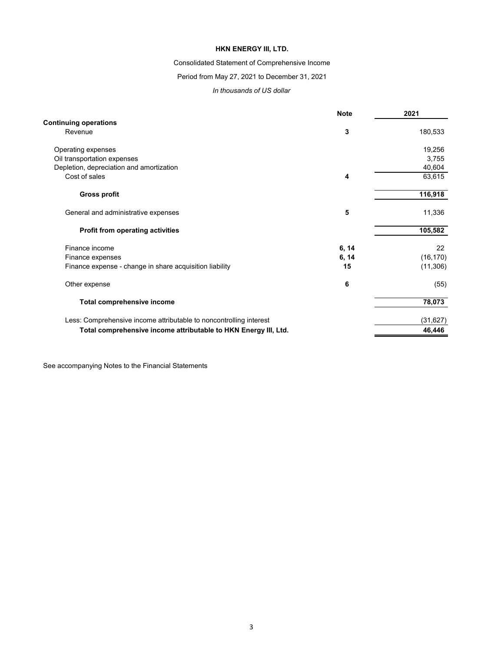### Consolidated Statement of Comprehensive Income

### Period from May 27, 2021 to December 31, 2021

#### *In thousands of US dollar*

|                                                                    | <b>Note</b> | 2021      |
|--------------------------------------------------------------------|-------------|-----------|
| <b>Continuing operations</b>                                       |             |           |
| Revenue                                                            | 3           | 180,533   |
| Operating expenses                                                 |             | 19,256    |
| Oil transportation expenses                                        |             | 3,755     |
| Depletion, depreciation and amortization                           |             | 40,604    |
| Cost of sales                                                      | 4           | 63,615    |
| <b>Gross profit</b>                                                |             | 116,918   |
| General and administrative expenses                                | 5           | 11,336    |
| <b>Profit from operating activities</b>                            |             | 105,582   |
| Finance income                                                     | 6, 14       | 22        |
| Finance expenses                                                   | 6, 14       | (16, 170) |
| Finance expense - change in share acquisition liability            | 15          | (11, 306) |
| Other expense                                                      | 6           | (55)      |
| <b>Total comprehensive income</b>                                  |             | 78,073    |
| Less: Comprehensive income attributable to noncontrolling interest |             | (31, 627) |
| Total comprehensive income attributable to HKN Energy III, Ltd.    |             | 46,446    |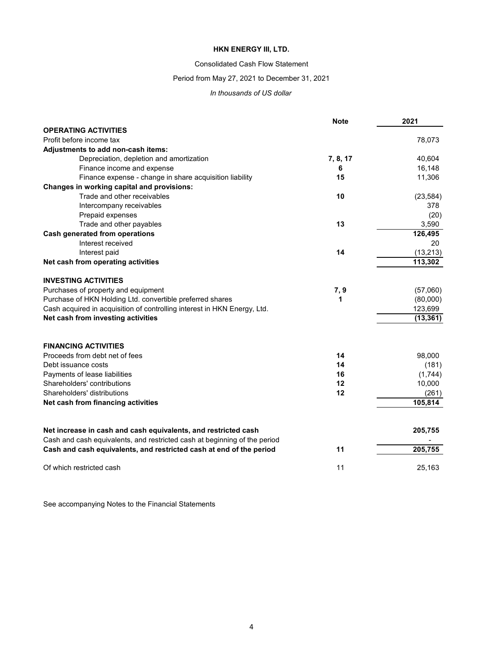#### Consolidated Cash Flow Statement

### Period from May 27, 2021 to December 31, 2021

#### *In thousands of US dollar*

|                                                                                                                                             | <b>Note</b> | 2021      |
|---------------------------------------------------------------------------------------------------------------------------------------------|-------------|-----------|
| <b>OPERATING ACTIVITIES</b>                                                                                                                 |             |           |
| Profit before income tax                                                                                                                    |             | 78,073    |
| Adjustments to add non-cash items:                                                                                                          |             |           |
| Depreciation, depletion and amortization                                                                                                    | 7, 8, 17    | 40,604    |
| Finance income and expense                                                                                                                  | 6           | 16,148    |
| Finance expense - change in share acquisition liability                                                                                     | 15          | 11,306    |
| Changes in working capital and provisions:                                                                                                  |             |           |
| Trade and other receivables                                                                                                                 | 10          | (23, 584) |
| Intercompany receivables                                                                                                                    |             | 378       |
| Prepaid expenses                                                                                                                            |             | (20)      |
| Trade and other payables                                                                                                                    | 13          | 3,590     |
| Cash generated from operations                                                                                                              |             | 126,495   |
| Interest received                                                                                                                           |             | 20        |
| Interest paid                                                                                                                               | 14          | (13, 213) |
| Net cash from operating activities                                                                                                          |             | 113,302   |
| <b>INVESTING ACTIVITIES</b>                                                                                                                 |             |           |
| Purchases of property and equipment                                                                                                         | 7,9         | (57,060)  |
| Purchase of HKN Holding Ltd. convertible preferred shares                                                                                   | 1           | (80,000)  |
| Cash acquired in acquisition of controlling interest in HKN Energy, Ltd.                                                                    |             | 123,699   |
| Net cash from investing activities                                                                                                          |             | (13, 361) |
|                                                                                                                                             |             |           |
| <b>FINANCING ACTIVITIES</b>                                                                                                                 |             |           |
| Proceeds from debt net of fees                                                                                                              | 14          | 98,000    |
| Debt issuance costs                                                                                                                         | 14          | (181)     |
| Payments of lease liabilities                                                                                                               | 16          | (1,744)   |
| Shareholders' contributions                                                                                                                 | 12          | 10,000    |
| Shareholders' distributions                                                                                                                 | 12          | (261)     |
| Net cash from financing activities                                                                                                          |             | 105,814   |
|                                                                                                                                             |             |           |
| Net increase in cash and cash equivalents, and restricted cash<br>Cash and cash equivalents, and restricted cash at beginning of the period |             | 205,755   |
| Cash and cash equivalents, and restricted cash at end of the period                                                                         | 11          | 205,755   |
| Of which restricted cash                                                                                                                    | 11          | 25,163    |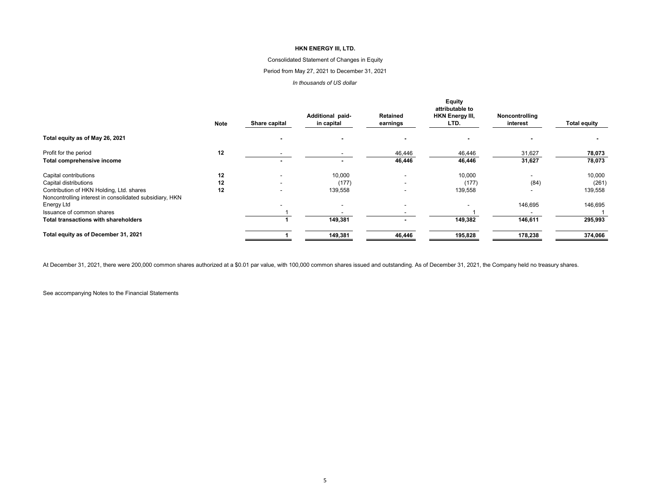#### Consolidated Statement of Changes in Equity

#### Period from May 27, 2021 to December 31, 2021

#### *In thousands of US dollar*

|                                                                                                     |             |               |                  |                          | <b>Equity</b><br>attributable to |                |                     |
|-----------------------------------------------------------------------------------------------------|-------------|---------------|------------------|--------------------------|----------------------------------|----------------|---------------------|
|                                                                                                     |             |               | Additional paid- | Retained                 | <b>HKN Energy III,</b>           | Noncontrolling |                     |
|                                                                                                     | <b>Note</b> | Share capital | in capital       | earnings                 | LTD.                             | interest       | <b>Total equity</b> |
| Total equity as of May 26, 2021                                                                     |             |               |                  |                          |                                  |                |                     |
| Profit for the period                                                                               | 12          |               |                  | 46,446                   | 46,446                           | 31,627         | 78,073              |
| Total comprehensive income                                                                          |             |               |                  | 46,446                   | 46,446                           | 31,627         | 78,073              |
| Capital contributions                                                                               | 12          |               | 10,000           | $\overline{\phantom{a}}$ | 10,000                           |                | 10,000              |
| Capital distributions                                                                               | 12          | -             | (177)            | $\overline{\phantom{a}}$ | (177)                            | (84)           | (261)               |
| Contribution of HKN Holding, Ltd. shares<br>Noncontrolling interest in consolidated subsidiary, HKN | 12          | -             | 139,558          | $\overline{\phantom{a}}$ | 139,558                          |                | 139,558             |
| Energy Ltd                                                                                          |             |               |                  | $\overline{\phantom{a}}$ |                                  | 146,695        | 146,695             |
| Issuance of common shares                                                                           |             |               |                  |                          |                                  |                |                     |
| <b>Total transactions with shareholders</b>                                                         |             |               | 149,381          | $\sim$                   | 149,382                          | 146,611        | 295,993             |
| Total equity as of December 31, 2021                                                                |             |               | 149,381          | 46,446                   | 195,828                          | 178,238        | 374,066             |

At December 31, 2021, there were 200,000 common shares authorized at a \$0.01 par value, with 100,000 common shares issued and outstanding. As of December 31, 2021, the Company held no treasury shares.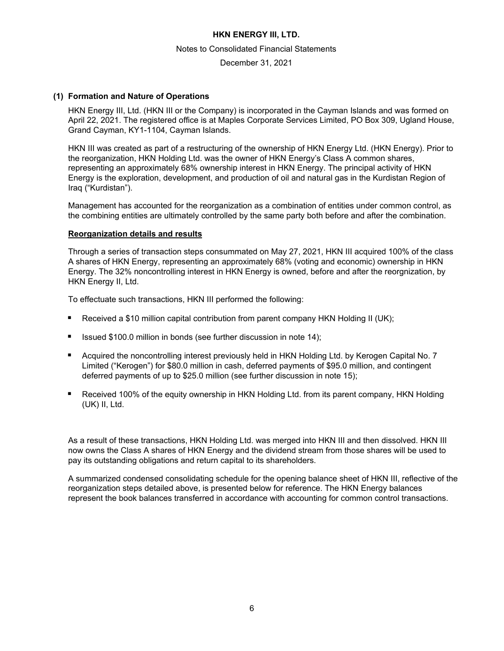#### Notes to Consolidated Financial Statements

December 31, 2021

### **(1) Formation and Nature of Operations**

HKN Energy III, Ltd. (HKN III or the Company) is incorporated in the Cayman Islands and was formed on April 22, 2021. The registered office is at Maples Corporate Services Limited, PO Box 309, Ugland House, Grand Cayman, KY1-1104, Cayman Islands.

HKN III was created as part of a restructuring of the ownership of HKN Energy Ltd. (HKN Energy). Prior to the reorganization, HKN Holding Ltd. was the owner of HKN Energy's Class A common shares, representing an approximately 68% ownership interest in HKN Energy. The principal activity of HKN Energy is the exploration, development, and production of oil and natural gas in the Kurdistan Region of Iraq ("Kurdistan").

Management has accounted for the reorganization as a combination of entities under common control, as the combining entities are ultimately controlled by the same party both before and after the combination.

### **Reorganization details and results**

Through a series of transaction steps consummated on May 27, 2021, HKN III acquired 100% of the class A shares of HKN Energy, representing an approximately 68% (voting and economic) ownership in HKN Energy. The 32% noncontrolling interest in HKN Energy is owned, before and after the reorgnization, by HKN Energy II, Ltd.

To effectuate such transactions, HKN III performed the following:

- Received a \$10 million capital contribution from parent company HKN Holding II (UK);
- Issued \$100.0 million in bonds (see further discussion in note 14);
- Acquired the noncontrolling interest previously held in HKN Holding Ltd. by Kerogen Capital No. 7 Limited ("Kerogen") for \$80.0 million in cash, deferred payments of \$95.0 million, and contingent deferred payments of up to \$25.0 million (see further discussion in note 15);
- Received 100% of the equity ownership in HKN Holding Ltd. from its parent company, HKN Holding (UK) II, Ltd.

As a result of these transactions, HKN Holding Ltd. was merged into HKN III and then dissolved. HKN III now owns the Class A shares of HKN Energy and the dividend stream from those shares will be used to pay its outstanding obligations and return capital to its shareholders.

A summarized condensed consolidating schedule for the opening balance sheet of HKN III, reflective of the reorganization steps detailed above, is presented below for reference. The HKN Energy balances represent the book balances transferred in accordance with accounting for common control transactions.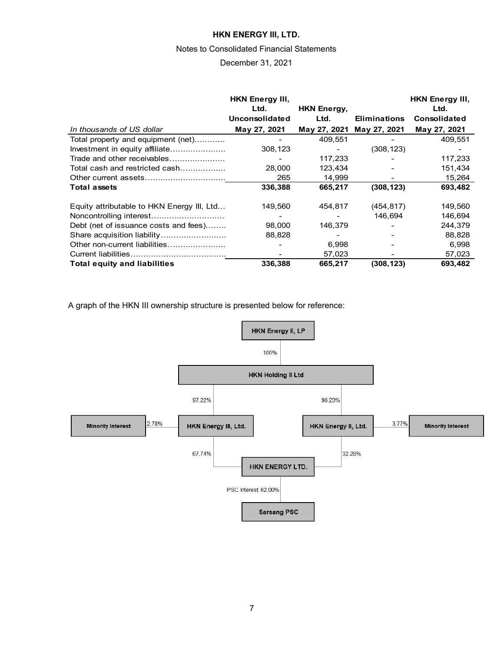#### Notes to Consolidated Financial Statements

### December 31, 2021

|                                            | <b>HKN Energy III.</b><br>Ltd.<br>Unconsolidated | <b>HKN Energy,</b><br>Ltd. | <b>Eliminations</b> | <b>HKN Energy III,</b><br>Ltd.<br><b>Consolidated</b> |
|--------------------------------------------|--------------------------------------------------|----------------------------|---------------------|-------------------------------------------------------|
| In thousands of US dollar                  | May 27, 2021                                     | May 27, 2021               | May 27, 2021        | May 27, 2021                                          |
| Total property and equipment (net)         |                                                  | 409,551                    |                     | 409,551                                               |
| Investment in equity affiliate             | 308,123                                          |                            | (308, 123)          |                                                       |
| Trade and other receivables                |                                                  | 117,233                    |                     | 117,233                                               |
| Total cash and restricted cash             | 28,000                                           | 123,434                    |                     | 151,434                                               |
|                                            | 265                                              | 14.999                     |                     | 15,264                                                |
| <b>Total assets</b>                        | 336,388                                          | 665,217                    | (308, 123)          | 693,482                                               |
| Equity attributable to HKN Energy III, Ltd | 149,560                                          | 454,817                    | (454, 817)          | 149,560                                               |
|                                            |                                                  |                            | 146.694             | 146,694                                               |
| Debt (net of issuance costs and fees)      | 98,000                                           | 146,379                    |                     | 244,379                                               |
| Share acquisition liability                | 88,828                                           |                            |                     | 88,828                                                |
| Other non-current liabilities              |                                                  | 6,998                      |                     | 6,998                                                 |
|                                            |                                                  | 57,023                     |                     | 57,023                                                |
| <b>Total equity and liabilities</b>        | 336,388                                          | 665,217                    | (308,123)           | 693,482                                               |

A graph of the HKN III ownership structure is presented below for reference:

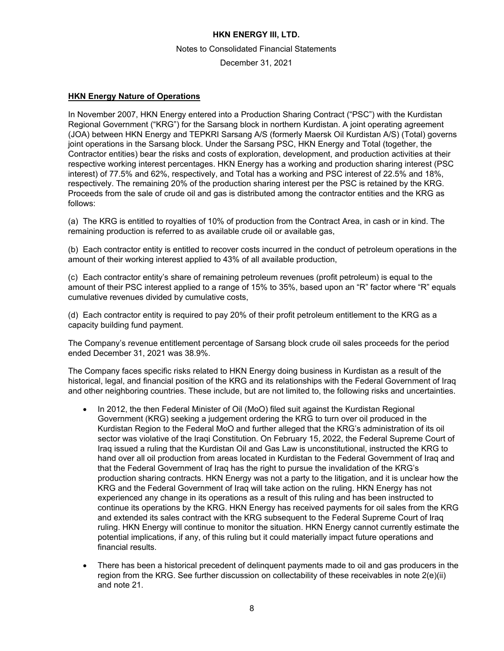Notes to Consolidated Financial Statements

December 31, 2021

### **HKN Energy Nature of Operations**

In November 2007, HKN Energy entered into a Production Sharing Contract ("PSC") with the Kurdistan Regional Government ("KRG") for the Sarsang block in northern Kurdistan. A joint operating agreement (JOA) between HKN Energy and TEPKRI Sarsang A/S (formerly Maersk Oil Kurdistan A/S) (Total) governs joint operations in the Sarsang block. Under the Sarsang PSC, HKN Energy and Total (together, the Contractor entities) bear the risks and costs of exploration, development, and production activities at their respective working interest percentages. HKN Energy has a working and production sharing interest (PSC interest) of 77.5% and 62%, respectively, and Total has a working and PSC interest of 22.5% and 18%, respectively. The remaining 20% of the production sharing interest per the PSC is retained by the KRG. Proceeds from the sale of crude oil and gas is distributed among the contractor entities and the KRG as follows:

(a) The KRG is entitled to royalties of 10% of production from the Contract Area, in cash or in kind. The remaining production is referred to as available crude oil or available gas,

(b) Each contractor entity is entitled to recover costs incurred in the conduct of petroleum operations in the amount of their working interest applied to 43% of all available production,

(c) Each contractor entity's share of remaining petroleum revenues (profit petroleum) is equal to the amount of their PSC interest applied to a range of 15% to 35%, based upon an "R" factor where "R" equals cumulative revenues divided by cumulative costs,

(d) Each contractor entity is required to pay 20% of their profit petroleum entitlement to the KRG as a capacity building fund payment.

The Company's revenue entitlement percentage of Sarsang block crude oil sales proceeds for the period ended December 31, 2021 was 38.9%.

The Company faces specific risks related to HKN Energy doing business in Kurdistan as a result of the historical, legal, and financial position of the KRG and its relationships with the Federal Government of Iraq and other neighboring countries. These include, but are not limited to, the following risks and uncertainties.

- In 2012, the then Federal Minister of Oil (MoO) filed suit against the Kurdistan Regional Government (KRG) seeking a judgement ordering the KRG to turn over oil produced in the Kurdistan Region to the Federal MoO and further alleged that the KRG's administration of its oil sector was violative of the Iraqi Constitution. On February 15, 2022, the Federal Supreme Court of Iraq issued a ruling that the Kurdistan Oil and Gas Law is unconstitutional, instructed the KRG to hand over all oil production from areas located in Kurdistan to the Federal Government of Iraq and that the Federal Government of Iraq has the right to pursue the invalidation of the KRG's production sharing contracts. HKN Energy was not a party to the litigation, and it is unclear how the KRG and the Federal Government of Iraq will take action on the ruling. HKN Energy has not experienced any change in its operations as a result of this ruling and has been instructed to continue its operations by the KRG. HKN Energy has received payments for oil sales from the KRG and extended its sales contract with the KRG subsequent to the Federal Supreme Court of Iraq ruling. HKN Energy will continue to monitor the situation. HKN Energy cannot currently estimate the potential implications, if any, of this ruling but it could materially impact future operations and financial results.
- There has been a historical precedent of delinquent payments made to oil and gas producers in the region from the KRG. See further discussion on collectability of these receivables in note 2(e)(ii) and note 21.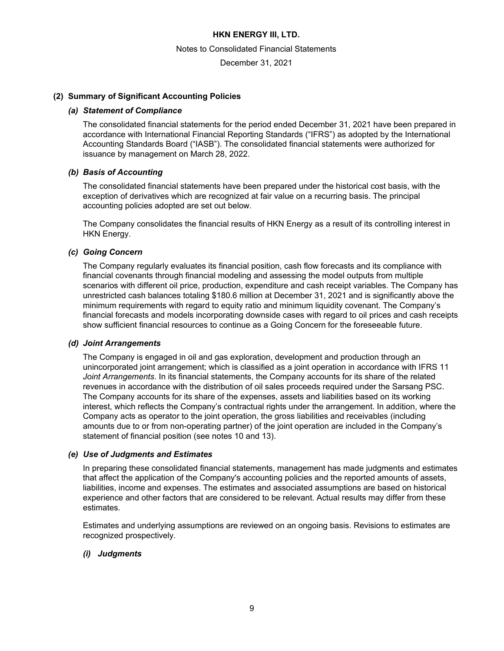Notes to Consolidated Financial Statements

December 31, 2021

### **(2) Summary of Significant Accounting Policies**

#### *(a) Statement of Compliance*

The consolidated financial statements for the period ended December 31, 2021 have been prepared in accordance with International Financial Reporting Standards ("IFRS") as adopted by the International Accounting Standards Board ("IASB"). The consolidated financial statements were authorized for issuance by management on March 28, 2022.

### *(b) Basis of Accounting*

The consolidated financial statements have been prepared under the historical cost basis, with the exception of derivatives which are recognized at fair value on a recurring basis. The principal accounting policies adopted are set out below.

The Company consolidates the financial results of HKN Energy as a result of its controlling interest in HKN Energy.

### *(c) Going Concern*

The Company regularly evaluates its financial position, cash flow forecasts and its compliance with financial covenants through financial modeling and assessing the model outputs from multiple scenarios with different oil price, production, expenditure and cash receipt variables. The Company has unrestricted cash balances totaling \$180.6 million at December 31, 2021 and is significantly above the minimum requirements with regard to equity ratio and minimum liquidity covenant. The Company's financial forecasts and models incorporating downside cases with regard to oil prices and cash receipts show sufficient financial resources to continue as a Going Concern for the foreseeable future.

#### *(d) Joint Arrangements*

The Company is engaged in oil and gas exploration, development and production through an unincorporated joint arrangement; which is classified as a joint operation in accordance with IFRS 11 *Joint Arrangements*. In its financial statements, the Company accounts for its share of the related revenues in accordance with the distribution of oil sales proceeds required under the Sarsang PSC. The Company accounts for its share of the expenses, assets and liabilities based on its working interest, which reflects the Company's contractual rights under the arrangement. In addition, where the Company acts as operator to the joint operation, the gross liabilities and receivables (including amounts due to or from non-operating partner) of the joint operation are included in the Company's statement of financial position (see notes 10 and 13).

#### *(e) Use of Judgments and Estimates*

In preparing these consolidated financial statements, management has made judgments and estimates that affect the application of the Company's accounting policies and the reported amounts of assets, liabilities, income and expenses. The estimates and associated assumptions are based on historical experience and other factors that are considered to be relevant. Actual results may differ from these estimates.

Estimates and underlying assumptions are reviewed on an ongoing basis. Revisions to estimates are recognized prospectively.

# *(i) Judgments*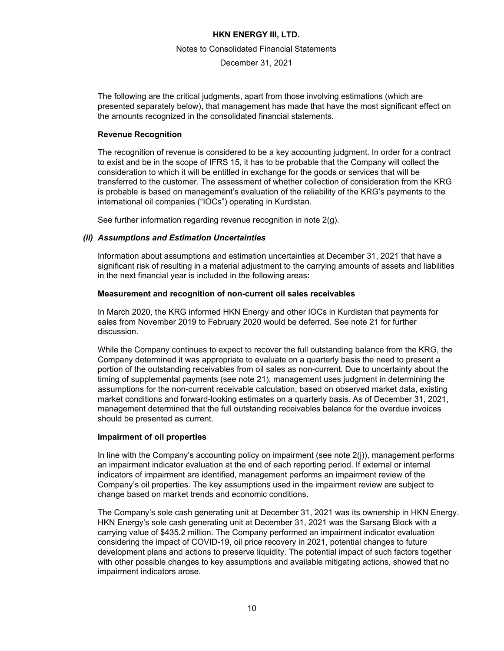#### Notes to Consolidated Financial Statements

December 31, 2021

The following are the critical judgments, apart from those involving estimations (which are presented separately below), that management has made that have the most significant effect on the amounts recognized in the consolidated financial statements.

### **Revenue Recognition**

The recognition of revenue is considered to be a key accounting judgment. In order for a contract to exist and be in the scope of IFRS 15, it has to be probable that the Company will collect the consideration to which it will be entitled in exchange for the goods or services that will be transferred to the customer. The assessment of whether collection of consideration from the KRG is probable is based on management's evaluation of the reliability of the KRG's payments to the international oil companies ("IOCs") operating in Kurdistan.

See further information regarding revenue recognition in note 2(g).

# *(ii) Assumptions and Estimation Uncertainties*

Information about assumptions and estimation uncertainties at December 31, 2021 that have a significant risk of resulting in a material adjustment to the carrying amounts of assets and liabilities in the next financial year is included in the following areas:

### **Measurement and recognition of non-current oil sales receivables**

In March 2020, the KRG informed HKN Energy and other IOCs in Kurdistan that payments for sales from November 2019 to February 2020 would be deferred. See note 21 for further discussion.

While the Company continues to expect to recover the full outstanding balance from the KRG, the Company determined it was appropriate to evaluate on a quarterly basis the need to present a portion of the outstanding receivables from oil sales as non-current. Due to uncertainty about the timing of supplemental payments (see note 21), management uses judgment in determining the assumptions for the non-current receivable calculation, based on observed market data, existing market conditions and forward-looking estimates on a quarterly basis. As of December 31, 2021, management determined that the full outstanding receivables balance for the overdue invoices should be presented as current.

# **Impairment of oil properties**

In line with the Company's accounting policy on impairment (see note  $2(i)$ ), management performs an impairment indicator evaluation at the end of each reporting period. If external or internal indicators of impairment are identified, management performs an impairment review of the Company's oil properties. The key assumptions used in the impairment review are subject to change based on market trends and economic conditions.

The Company's sole cash generating unit at December 31, 2021 was its ownership in HKN Energy. HKN Energy's sole cash generating unit at December 31, 2021 was the Sarsang Block with a carrying value of \$435.2 million. The Company performed an impairment indicator evaluation considering the impact of COVID-19, oil price recovery in 2021, potential changes to future development plans and actions to preserve liquidity. The potential impact of such factors together with other possible changes to key assumptions and available mitigating actions, showed that no impairment indicators arose.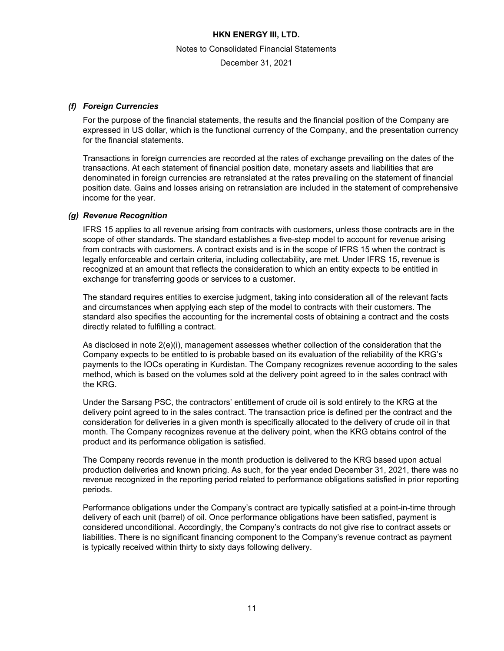Notes to Consolidated Financial Statements

December 31, 2021

# *(f) Foreign Currencies*

For the purpose of the financial statements, the results and the financial position of the Company are expressed in US dollar, which is the functional currency of the Company, and the presentation currency for the financial statements.

Transactions in foreign currencies are recorded at the rates of exchange prevailing on the dates of the transactions. At each statement of financial position date, monetary assets and liabilities that are denominated in foreign currencies are retranslated at the rates prevailing on the statement of financial position date. Gains and losses arising on retranslation are included in the statement of comprehensive income for the year.

### *(g) Revenue Recognition*

IFRS 15 applies to all revenue arising from contracts with customers, unless those contracts are in the scope of other standards. The standard establishes a five-step model to account for revenue arising from contracts with customers. A contract exists and is in the scope of IFRS 15 when the contract is legally enforceable and certain criteria, including collectability, are met. Under IFRS 15, revenue is recognized at an amount that reflects the consideration to which an entity expects to be entitled in exchange for transferring goods or services to a customer.

The standard requires entities to exercise judgment, taking into consideration all of the relevant facts and circumstances when applying each step of the model to contracts with their customers. The standard also specifies the accounting for the incremental costs of obtaining a contract and the costs directly related to fulfilling a contract.

As disclosed in note 2(e)(i), management assesses whether collection of the consideration that the Company expects to be entitled to is probable based on its evaluation of the reliability of the KRG's payments to the IOCs operating in Kurdistan. The Company recognizes revenue according to the sales method, which is based on the volumes sold at the delivery point agreed to in the sales contract with the KRG.

Under the Sarsang PSC, the contractors' entitlement of crude oil is sold entirely to the KRG at the delivery point agreed to in the sales contract. The transaction price is defined per the contract and the consideration for deliveries in a given month is specifically allocated to the delivery of crude oil in that month. The Company recognizes revenue at the delivery point, when the KRG obtains control of the product and its performance obligation is satisfied.

The Company records revenue in the month production is delivered to the KRG based upon actual production deliveries and known pricing. As such, for the year ended December 31, 2021, there was no revenue recognized in the reporting period related to performance obligations satisfied in prior reporting periods.

Performance obligations under the Company's contract are typically satisfied at a point-in-time through delivery of each unit (barrel) of oil. Once performance obligations have been satisfied, payment is considered unconditional. Accordingly, the Company's contracts do not give rise to contract assets or liabilities. There is no significant financing component to the Company's revenue contract as payment is typically received within thirty to sixty days following delivery.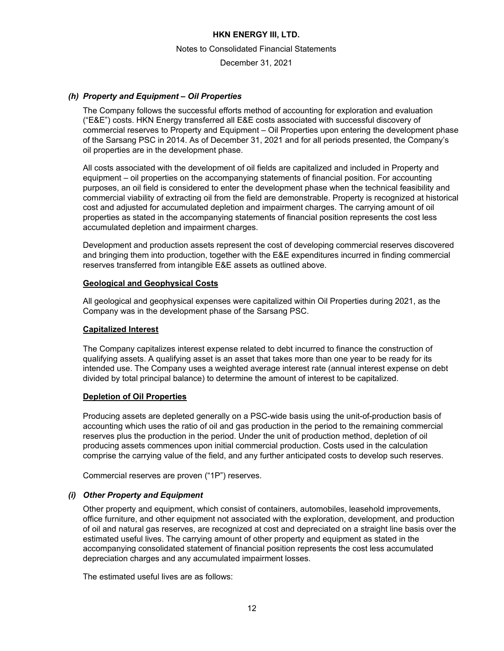Notes to Consolidated Financial Statements

December 31, 2021

### *(h) Property and Equipment – Oil Properties*

The Company follows the successful efforts method of accounting for exploration and evaluation ("E&E") costs. HKN Energy transferred all E&E costs associated with successful discovery of commercial reserves to Property and Equipment – Oil Properties upon entering the development phase of the Sarsang PSC in 2014. As of December 31, 2021 and for all periods presented, the Company's oil properties are in the development phase.

All costs associated with the development of oil fields are capitalized and included in Property and equipment – oil properties on the accompanying statements of financial position. For accounting purposes, an oil field is considered to enter the development phase when the technical feasibility and commercial viability of extracting oil from the field are demonstrable. Property is recognized at historical cost and adjusted for accumulated depletion and impairment charges. The carrying amount of oil properties as stated in the accompanying statements of financial position represents the cost less accumulated depletion and impairment charges.

Development and production assets represent the cost of developing commercial reserves discovered and bringing them into production, together with the E&E expenditures incurred in finding commercial reserves transferred from intangible E&E assets as outlined above.

### **Geological and Geophysical Costs**

All geological and geophysical expenses were capitalized within Oil Properties during 2021, as the Company was in the development phase of the Sarsang PSC.

### **Capitalized Interest**

The Company capitalizes interest expense related to debt incurred to finance the construction of qualifying assets. A qualifying asset is an asset that takes more than one year to be ready for its intended use. The Company uses a weighted average interest rate (annual interest expense on debt divided by total principal balance) to determine the amount of interest to be capitalized.

#### **Depletion of Oil Properties**

Producing assets are depleted generally on a PSC-wide basis using the unit-of-production basis of accounting which uses the ratio of oil and gas production in the period to the remaining commercial reserves plus the production in the period. Under the unit of production method, depletion of oil producing assets commences upon initial commercial production. Costs used in the calculation comprise the carrying value of the field, and any further anticipated costs to develop such reserves.

Commercial reserves are proven ("1P") reserves.

# *(i) Other Property and Equipment*

Other property and equipment, which consist of containers, automobiles, leasehold improvements, office furniture, and other equipment not associated with the exploration, development, and production of oil and natural gas reserves, are recognized at cost and depreciated on a straight line basis over the estimated useful lives. The carrying amount of other property and equipment as stated in the accompanying consolidated statement of financial position represents the cost less accumulated depreciation charges and any accumulated impairment losses.

The estimated useful lives are as follows: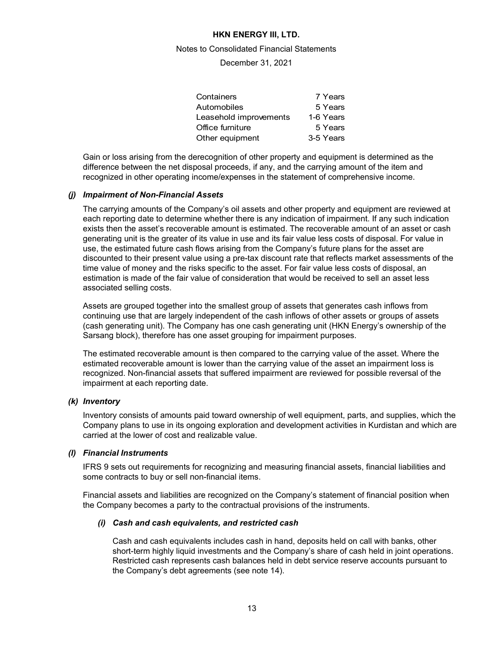#### Notes to Consolidated Financial Statements

December 31, 2021

| Containers             | 7 Years   |
|------------------------|-----------|
| Automobiles            | 5 Years   |
| Leasehold improvements | 1-6 Years |
| Office furniture       | 5 Years   |
| Other equipment        | 3-5 Years |
|                        |           |

Gain or loss arising from the derecognition of other property and equipment is determined as the difference between the net disposal proceeds, if any, and the carrying amount of the item and recognized in other operating income/expenses in the statement of comprehensive income.

### *(j) Impairment of Non-Financial Assets*

The carrying amounts of the Company's oil assets and other property and equipment are reviewed at each reporting date to determine whether there is any indication of impairment. If any such indication exists then the asset's recoverable amount is estimated. The recoverable amount of an asset or cash generating unit is the greater of its value in use and its fair value less costs of disposal. For value in use, the estimated future cash flows arising from the Company's future plans for the asset are discounted to their present value using a pre-tax discount rate that reflects market assessments of the time value of money and the risks specific to the asset. For fair value less costs of disposal, an estimation is made of the fair value of consideration that would be received to sell an asset less associated selling costs.

Assets are grouped together into the smallest group of assets that generates cash inflows from continuing use that are largely independent of the cash inflows of other assets or groups of assets (cash generating unit). The Company has one cash generating unit (HKN Energy's ownership of the Sarsang block), therefore has one asset grouping for impairment purposes.

The estimated recoverable amount is then compared to the carrying value of the asset. Where the estimated recoverable amount is lower than the carrying value of the asset an impairment loss is recognized. Non-financial assets that suffered impairment are reviewed for possible reversal of the impairment at each reporting date.

#### *(k) Inventory*

Inventory consists of amounts paid toward ownership of well equipment, parts, and supplies, which the Company plans to use in its ongoing exploration and development activities in Kurdistan and which are carried at the lower of cost and realizable value.

#### *(l) Financial Instruments*

IFRS 9 sets out requirements for recognizing and measuring financial assets, financial liabilities and some contracts to buy or sell non-financial items.

Financial assets and liabilities are recognized on the Company's statement of financial position when the Company becomes a party to the contractual provisions of the instruments.

#### *(i) Cash and cash equivalents, and restricted cash*

Cash and cash equivalents includes cash in hand, deposits held on call with banks, other short-term highly liquid investments and the Company's share of cash held in joint operations. Restricted cash represents cash balances held in debt service reserve accounts pursuant to the Company's debt agreements (see note 14).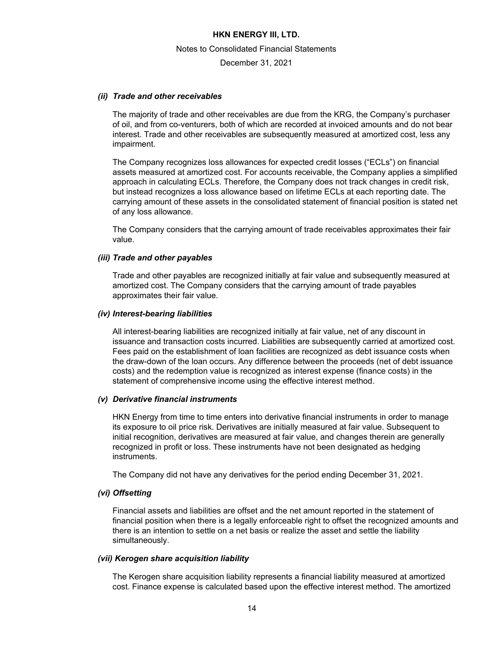Notes to Consolidated Financial Statements

December 31, 2021

#### *(ii) Trade and other receivables*

The majority of trade and other receivables are due from the KRG, the Company's purchaser of oil, and from co-venturers, both of which are recorded at invoiced amounts and do not bear interest. Trade and other receivables are subsequently measured at amortized cost, less any impairment.

The Company recognizes loss allowances for expected credit losses ("ECLs") on financial assets measured at amortized cost. For accounts receivable, the Company applies a simplified approach in calculating ECLs. Therefore, the Company does not track changes in credit risk, but instead recognizes a loss allowance based on lifetime ECLs at each reporting date. The carrying amount of these assets in the consolidated statement of financial position is stated net of any loss allowance.

The Company considers that the carrying amount of trade receivables approximates their fair value.

#### *(iii) Trade and other payables*

Trade and other payables are recognized initially at fair value and subsequently measured at amortized cost. The Company considers that the carrying amount of trade payables approximates their fair value.

#### *(iv) Interest-bearing liabilities*

All interest-bearing liabilities are recognized initially at fair value, net of any discount in issuance and transaction costs incurred. Liabilities are subsequently carried at amortized cost. Fees paid on the establishment of loan facilities are recognized as debt issuance costs when the draw-down of the loan occurs. Any difference between the proceeds (net of debt issuance costs) and the redemption value is recognized as interest expense (finance costs) in the statement of comprehensive income using the effective interest method.

#### *(v) Derivative financial instruments*

HKN Energy from time to time enters into derivative financial instruments in order to manage its exposure to oil price risk. Derivatives are initially measured at fair value. Subsequent to initial recognition, derivatives are measured at fair value, and changes therein are generally recognized in profit or loss. These instruments have not been designated as hedging instruments.

The Company did not have any derivatives for the period ending December 31, 2021.

#### *(vi) Offsetting*

Financial assets and liabilities are offset and the net amount reported in the statement of financial position when there is a legally enforceable right to offset the recognized amounts and there is an intention to settle on a net basis or realize the asset and settle the liability simultaneously.

#### *(vii) Kerogen share acquisition liability*

The Kerogen share acquisition liability represents a financial liability measured at amortized cost. Finance expense is calculated based upon the effective interest method. The amortized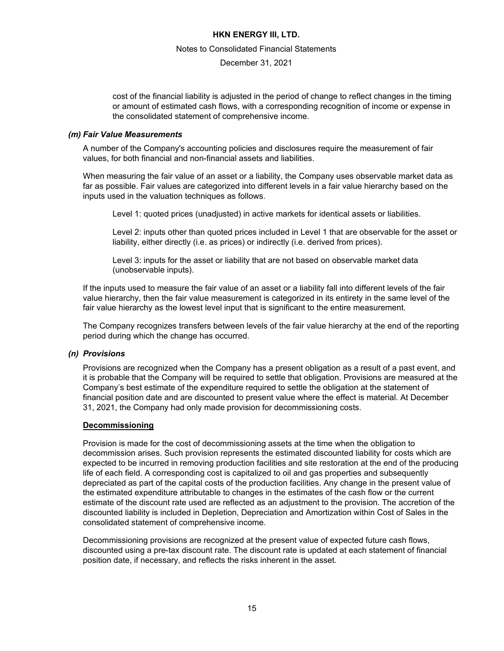Notes to Consolidated Financial Statements

December 31, 2021

cost of the financial liability is adjusted in the period of change to reflect changes in the timing or amount of estimated cash flows, with a corresponding recognition of income or expense in the consolidated statement of comprehensive income.

#### *(m) Fair Value Measurements*

A number of the Company's accounting policies and disclosures require the measurement of fair values, for both financial and non-financial assets and liabilities.

When measuring the fair value of an asset or a liability, the Company uses observable market data as far as possible. Fair values are categorized into different levels in a fair value hierarchy based on the inputs used in the valuation techniques as follows.

Level 1: quoted prices (unadjusted) in active markets for identical assets or liabilities.

Level 2: inputs other than quoted prices included in Level 1 that are observable for the asset or liability, either directly (i.e. as prices) or indirectly (i.e. derived from prices).

Level 3: inputs for the asset or liability that are not based on observable market data (unobservable inputs).

If the inputs used to measure the fair value of an asset or a liability fall into different levels of the fair value hierarchy, then the fair value measurement is categorized in its entirety in the same level of the fair value hierarchy as the lowest level input that is significant to the entire measurement.

The Company recognizes transfers between levels of the fair value hierarchy at the end of the reporting period during which the change has occurred.

#### *(n) Provisions*

Provisions are recognized when the Company has a present obligation as a result of a past event, and it is probable that the Company will be required to settle that obligation. Provisions are measured at the Company's best estimate of the expenditure required to settle the obligation at the statement of financial position date and are discounted to present value where the effect is material. At December 31, 2021, the Company had only made provision for decommissioning costs.

#### **Decommissioning**

Provision is made for the cost of decommissioning assets at the time when the obligation to decommission arises. Such provision represents the estimated discounted liability for costs which are expected to be incurred in removing production facilities and site restoration at the end of the producing life of each field. A corresponding cost is capitalized to oil and gas properties and subsequently depreciated as part of the capital costs of the production facilities. Any change in the present value of the estimated expenditure attributable to changes in the estimates of the cash flow or the current estimate of the discount rate used are reflected as an adjustment to the provision. The accretion of the discounted liability is included in Depletion, Depreciation and Amortization within Cost of Sales in the consolidated statement of comprehensive income.

Decommissioning provisions are recognized at the present value of expected future cash flows, discounted using a pre-tax discount rate. The discount rate is updated at each statement of financial position date, if necessary, and reflects the risks inherent in the asset.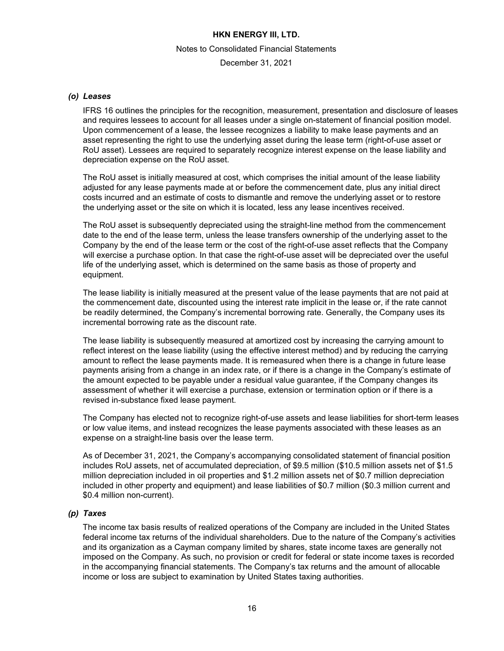#### Notes to Consolidated Financial Statements

December 31, 2021

#### *(o) Leases*

IFRS 16 outlines the principles for the recognition, measurement, presentation and disclosure of leases and requires lessees to account for all leases under a single on-statement of financial position model. Upon commencement of a lease, the lessee recognizes a liability to make lease payments and an asset representing the right to use the underlying asset during the lease term (right-of-use asset or RoU asset). Lessees are required to separately recognize interest expense on the lease liability and depreciation expense on the RoU asset.

The RoU asset is initially measured at cost, which comprises the initial amount of the lease liability adjusted for any lease payments made at or before the commencement date, plus any initial direct costs incurred and an estimate of costs to dismantle and remove the underlying asset or to restore the underlying asset or the site on which it is located, less any lease incentives received.

The RoU asset is subsequently depreciated using the straight-line method from the commencement date to the end of the lease term, unless the lease transfers ownership of the underlying asset to the Company by the end of the lease term or the cost of the right-of-use asset reflects that the Company will exercise a purchase option. In that case the right-of-use asset will be depreciated over the useful life of the underlying asset, which is determined on the same basis as those of property and equipment.

The lease liability is initially measured at the present value of the lease payments that are not paid at the commencement date, discounted using the interest rate implicit in the lease or, if the rate cannot be readily determined, the Company's incremental borrowing rate. Generally, the Company uses its incremental borrowing rate as the discount rate.

The lease liability is subsequently measured at amortized cost by increasing the carrying amount to reflect interest on the lease liability (using the effective interest method) and by reducing the carrying amount to reflect the lease payments made. It is remeasured when there is a change in future lease payments arising from a change in an index rate, or if there is a change in the Company's estimate of the amount expected to be payable under a residual value guarantee, if the Company changes its assessment of whether it will exercise a purchase, extension or termination option or if there is a revised in-substance fixed lease payment.

The Company has elected not to recognize right-of-use assets and lease liabilities for short-term leases or low value items, and instead recognizes the lease payments associated with these leases as an expense on a straight-line basis over the lease term.

As of December 31, 2021, the Company's accompanying consolidated statement of financial position includes RoU assets, net of accumulated depreciation, of \$9.5 million (\$10.5 million assets net of \$1.5 million depreciation included in oil properties and \$1.2 million assets net of \$0.7 million depreciation included in other property and equipment) and lease liabilities of \$0.7 million (\$0.3 million current and \$0.4 million non-current).

# *(p) Taxes*

The income tax basis results of realized operations of the Company are included in the United States federal income tax returns of the individual shareholders. Due to the nature of the Company's activities and its organization as a Cayman company limited by shares, state income taxes are generally not imposed on the Company. As such, no provision or credit for federal or state income taxes is recorded in the accompanying financial statements. The Company's tax returns and the amount of allocable income or loss are subject to examination by United States taxing authorities.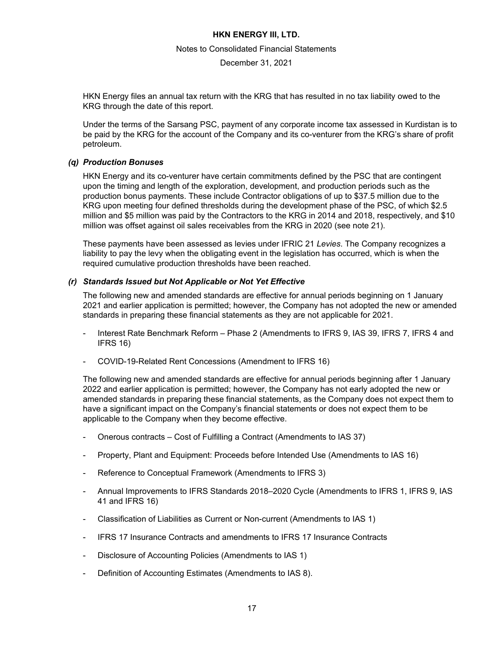#### Notes to Consolidated Financial Statements

December 31, 2021

HKN Energy files an annual tax return with the KRG that has resulted in no tax liability owed to the KRG through the date of this report.

Under the terms of the Sarsang PSC, payment of any corporate income tax assessed in Kurdistan is to be paid by the KRG for the account of the Company and its co-venturer from the KRG's share of profit petroleum.

#### *(q) Production Bonuses*

HKN Energy and its co-venturer have certain commitments defined by the PSC that are contingent upon the timing and length of the exploration, development, and production periods such as the production bonus payments. These include Contractor obligations of up to \$37.5 million due to the KRG upon meeting four defined thresholds during the development phase of the PSC, of which \$2.5 million and \$5 million was paid by the Contractors to the KRG in 2014 and 2018, respectively, and \$10 million was offset against oil sales receivables from the KRG in 2020 (see note 21).

These payments have been assessed as levies under IFRIC 21 *Levies*. The Company recognizes a liability to pay the levy when the obligating event in the legislation has occurred, which is when the required cumulative production thresholds have been reached.

#### *(r) Standards Issued but Not Applicable or Not Yet Effective*

The following new and amended standards are effective for annual periods beginning on 1 January 2021 and earlier application is permitted; however, the Company has not adopted the new or amended standards in preparing these financial statements as they are not applicable for 2021.

- Interest Rate Benchmark Reform Phase 2 (Amendments to IFRS 9, IAS 39, IFRS 7, IFRS 4 and IFRS 16)
- COVID-19-Related Rent Concessions (Amendment to IFRS 16)

The following new and amended standards are effective for annual periods beginning after 1 January 2022 and earlier application is permitted; however, the Company has not early adopted the new or amended standards in preparing these financial statements, as the Company does not expect them to have a significant impact on the Company's financial statements or does not expect them to be applicable to the Company when they become effective.

- Onerous contracts Cost of Fulfilling a Contract (Amendments to IAS 37)
- Property, Plant and Equipment: Proceeds before Intended Use (Amendments to IAS 16)
- Reference to Conceptual Framework (Amendments to IFRS 3)
- Annual Improvements to IFRS Standards 2018–2020 Cycle (Amendments to IFRS 1, IFRS 9, IAS 41 and IFRS 16)
- Classification of Liabilities as Current or Non-current (Amendments to IAS 1)
- IFRS 17 Insurance Contracts and amendments to IFRS 17 Insurance Contracts
- Disclosure of Accounting Policies (Amendments to IAS 1)
- Definition of Accounting Estimates (Amendments to IAS 8).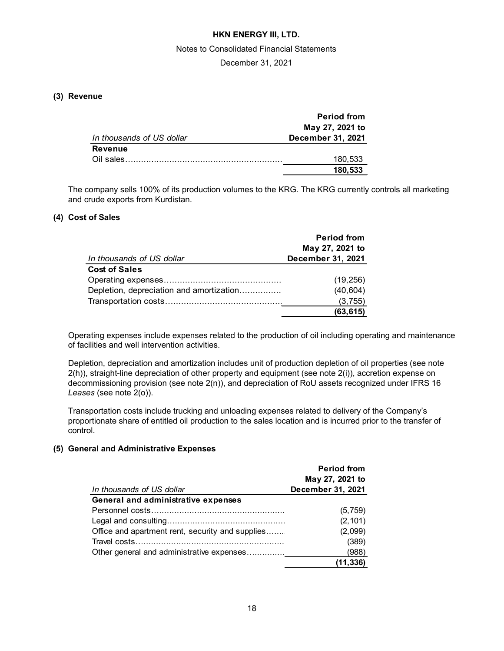#### Notes to Consolidated Financial Statements

December 31, 2021

# **(3) Revenue**

|                           | <b>Period from</b>       |
|---------------------------|--------------------------|
|                           | May 27, 2021 to          |
| In thousands of US dollar | <b>December 31, 2021</b> |
| <b>Revenue</b>            |                          |
| Oil sales.                | 180,533                  |
|                           | 180,533                  |

The company sells 100% of its production volumes to the KRG. The KRG currently controls all marketing and crude exports from Kurdistan.

### **(4) Cost of Sales**

|                                          | <b>Period from</b> |
|------------------------------------------|--------------------|
|                                          | May 27, 2021 to    |
| In thousands of US dollar                | December 31, 2021  |
| <b>Cost of Sales</b>                     |                    |
|                                          | (19, 256)          |
| Depletion, depreciation and amortization | (40, 604)          |
|                                          | (3,755)            |
|                                          | (63, 615)          |

Operating expenses include expenses related to the production of oil including operating and maintenance of facilities and well intervention activities.

Depletion, depreciation and amortization includes unit of production depletion of oil properties (see note 2(h)), straight-line depreciation of other property and equipment (see note 2(i)), accretion expense on decommissioning provision (see note 2(n)), and depreciation of RoU assets recognized under IFRS 16 *Leases* (see note 2(o)).

Transportation costs include trucking and unloading expenses related to delivery of the Company's proportionate share of entitled oil production to the sales location and is incurred prior to the transfer of control.

#### **(5) General and Administrative Expenses**

|                                                  | <b>Period from</b><br>May 27, 2021 to |
|--------------------------------------------------|---------------------------------------|
| In thousands of US dollar                        | December 31, 2021                     |
| General and administrative expenses              |                                       |
|                                                  | (5,759)                               |
|                                                  | (2, 101)                              |
| Office and apartment rent, security and supplies | (2,099)                               |
|                                                  | (389)                                 |
| Other general and administrative expenses        | (988)                                 |
|                                                  | (11, 336)                             |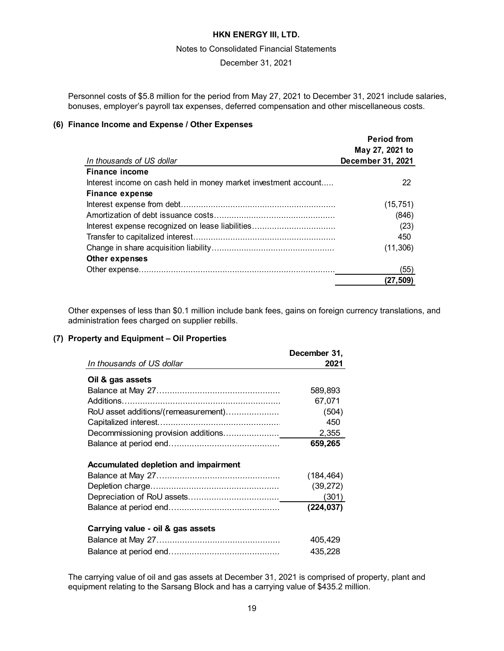#### Notes to Consolidated Financial Statements

December 31, 2021

Personnel costs of \$5.8 million for the period from May 27, 2021 to December 31, 2021 include salaries, bonuses, employer's payroll tax expenses, deferred compensation and other miscellaneous costs.

### **(6) Finance Income and Expense / Other Expenses**

|                                                                 | <b>Period from</b><br>May 27, 2021 to |
|-----------------------------------------------------------------|---------------------------------------|
| In thousands of US dollar                                       | December 31, 2021                     |
| <b>Finance income</b>                                           |                                       |
| Interest income on cash held in money market investment account | 22                                    |
| <b>Finance expense</b>                                          |                                       |
|                                                                 | (15, 751)                             |
|                                                                 | (846)                                 |
|                                                                 | (23)                                  |
|                                                                 | 450                                   |
|                                                                 | (11, 306)                             |
| Other expenses                                                  |                                       |
|                                                                 | (55)                                  |
|                                                                 | (27, 509)                             |

Other expenses of less than \$0.1 million include bank fees, gains on foreign currency translations, and administration fees charged on supplier rebills.

# **(7) Property and Equipment – Oil Properties**

|                                             | December 31,                                   |
|---------------------------------------------|------------------------------------------------|
| In thousands of US dollar                   | 2021                                           |
| Oil & gas assets                            |                                                |
|                                             | 589,893                                        |
|                                             | 67,071                                         |
| RoU asset additions/(remeasurement)         | (504)                                          |
|                                             | 450                                            |
|                                             | 2,355                                          |
|                                             | 659,265                                        |
| <b>Accumulated depletion and impairment</b> | (184, 464)<br>(39, 272)<br>(301)<br>(224, 037) |
| Carrying value - oil & gas assets           | 405,429<br>435,228                             |

The carrying value of oil and gas assets at December 31, 2021 is comprised of property, plant and equipment relating to the Sarsang Block and has a carrying value of \$435.2 million.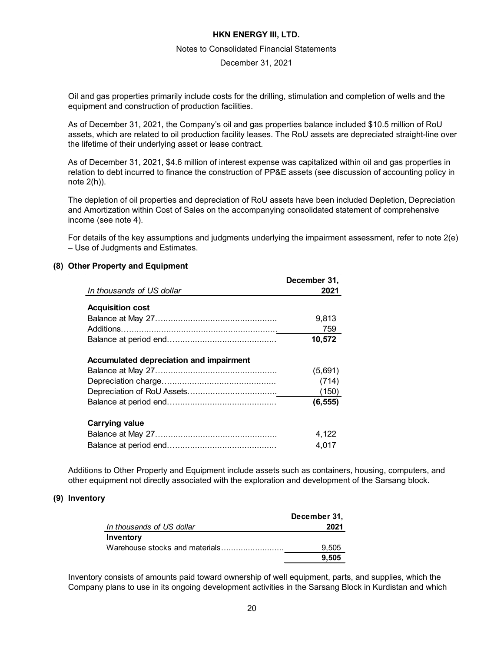#### Notes to Consolidated Financial Statements

#### December 31, 2021

Oil and gas properties primarily include costs for the drilling, stimulation and completion of wells and the equipment and construction of production facilities.

As of December 31, 2021, the Company's oil and gas properties balance included \$10.5 million of RoU assets, which are related to oil production facility leases. The RoU assets are depreciated straight-line over the lifetime of their underlying asset or lease contract.

As of December 31, 2021, \$4.6 million of interest expense was capitalized within oil and gas properties in relation to debt incurred to finance the construction of PP&E assets (see discussion of accounting policy in note 2(h)).

The depletion of oil properties and depreciation of RoU assets have been included Depletion, Depreciation and Amortization within Cost of Sales on the accompanying consolidated statement of comprehensive income (see note 4).

For details of the key assumptions and judgments underlying the impairment assessment, refer to note 2(e) – Use of Judgments and Estimates.

### **(8) Other Property and Equipment**

|                                         | December 31, |
|-----------------------------------------|--------------|
| In thousands of US dollar               | 2021         |
|                                         |              |
| <b>Acquisition cost</b>                 |              |
|                                         | 9,813        |
|                                         | 759          |
|                                         | 10,572       |
| Accumulated depreciation and impairment |              |
|                                         | (5,691)      |
|                                         | (714)        |
|                                         | (150)        |
|                                         | (6, 555)     |
| <b>Carrying value</b>                   |              |
|                                         | 4,122        |
|                                         | 4.017        |

Additions to Other Property and Equipment include assets such as containers, housing, computers, and other equipment not directly associated with the exploration and development of the Sarsang block.

### **(9) Inventory**

| December 31, |
|--------------|
| 2021         |
|              |
| 9.505        |
| 9.505        |
|              |

Inventory consists of amounts paid toward ownership of well equipment, parts, and supplies, which the Company plans to use in its ongoing development activities in the Sarsang Block in Kurdistan and which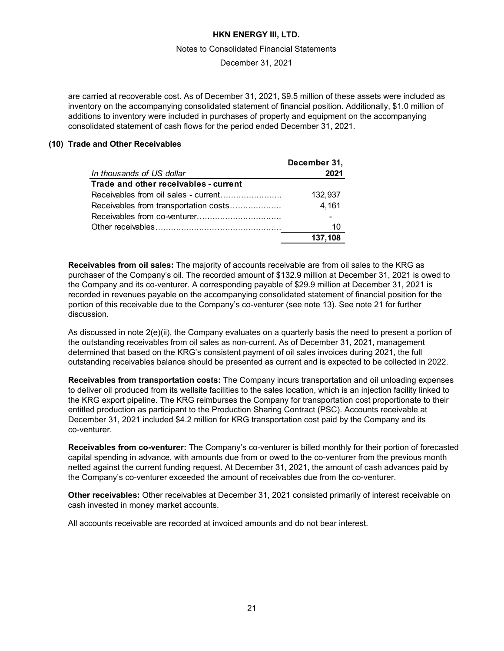#### Notes to Consolidated Financial Statements

December 31, 2021

are carried at recoverable cost. As of December 31, 2021, \$9.5 million of these assets were included as inventory on the accompanying consolidated statement of financial position. Additionally, \$1.0 million of additions to inventory were included in purchases of property and equipment on the accompanying consolidated statement of cash flows for the period ended December 31, 2021.

### **(10) Trade and Other Receivables**

|                                       | December 31, |
|---------------------------------------|--------------|
| In thousands of US dollar             | 2021         |
| Trade and other receivables - current |              |
|                                       | 132,937      |
| Receivables from transportation costs | 4,161        |
|                                       |              |
|                                       | 10           |
|                                       | 137,108      |

**Receivables from oil sales:** The majority of accounts receivable are from oil sales to the KRG as purchaser of the Company's oil. The recorded amount of \$132.9 million at December 31, 2021 is owed to the Company and its co-venturer. A corresponding payable of \$29.9 million at December 31, 2021 is recorded in revenues payable on the accompanying consolidated statement of financial position for the portion of this receivable due to the Company's co-venturer (see note 13). See note 21 for further discussion.

As discussed in note 2(e)(ii), the Company evaluates on a quarterly basis the need to present a portion of the outstanding receivables from oil sales as non-current. As of December 31, 2021, management determined that based on the KRG's consistent payment of oil sales invoices during 2021, the full outstanding receivables balance should be presented as current and is expected to be collected in 2022.

**Receivables from transportation costs:** The Company incurs transportation and oil unloading expenses to deliver oil produced from its wellsite facilities to the sales location, which is an injection facility linked to the KRG export pipeline. The KRG reimburses the Company for transportation cost proportionate to their entitled production as participant to the Production Sharing Contract (PSC). Accounts receivable at December 31, 2021 included \$4.2 million for KRG transportation cost paid by the Company and its co-venturer.

**Receivables from co-venturer:** The Company's co-venturer is billed monthly for their portion of forecasted capital spending in advance, with amounts due from or owed to the co-venturer from the previous month netted against the current funding request. At December 31, 2021, the amount of cash advances paid by the Company's co-venturer exceeded the amount of receivables due from the co-venturer.

**Other receivables:** Other receivables at December 31, 2021 consisted primarily of interest receivable on cash invested in money market accounts.

All accounts receivable are recorded at invoiced amounts and do not bear interest.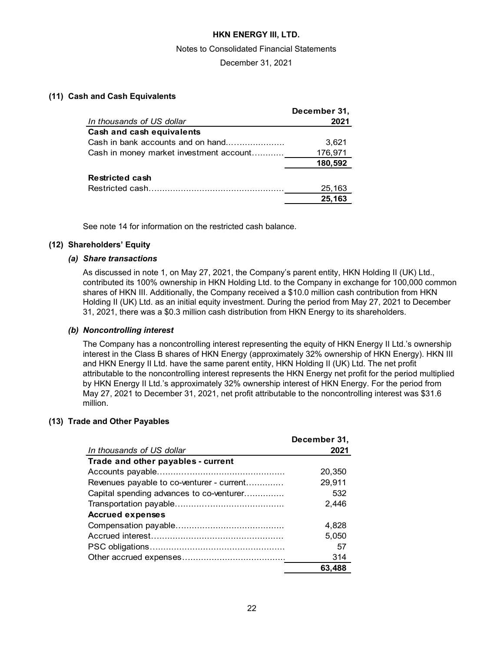#### Notes to Consolidated Financial Statements

December 31, 2021

### **(11) Cash and Cash Equivalents**

|                                         | December 31, |
|-----------------------------------------|--------------|
| In thousands of US dollar               | 2021         |
| Cash and cash equivalents               |              |
| Cash in bank accounts and on hand       | 3,621        |
| Cash in money market investment account | 176,971      |
|                                         | 180,592      |
| Restricted cash                         |              |
|                                         | 25,163       |
|                                         | 25,163       |

See note 14 for information on the restricted cash balance.

# **(12) Shareholders' Equity**

### *(a) Share transactions*

As discussed in note 1, on May 27, 2021, the Company's parent entity, HKN Holding II (UK) Ltd., contributed its 100% ownership in HKN Holding Ltd. to the Company in exchange for 100,000 common shares of HKN III. Additionally, the Company received a \$10.0 million cash contribution from HKN Holding II (UK) Ltd. as an initial equity investment. During the period from May 27, 2021 to December 31, 2021, there was a \$0.3 million cash distribution from HKN Energy to its shareholders.

### *(b) Noncontrolling interest*

The Company has a noncontrolling interest representing the equity of HKN Energy II Ltd.'s ownership interest in the Class B shares of HKN Energy (approximately 32% ownership of HKN Energy). HKN III and HKN Energy II Ltd. have the same parent entity, HKN Holding II (UK) Ltd. The net profit attributable to the noncontrolling interest represents the HKN Energy net profit for the period multiplied by HKN Energy II Ltd.'s approximately 32% ownership interest of HKN Energy. For the period from May 27, 2021 to December 31, 2021, net profit attributable to the noncontrolling interest was \$31.6 million.

#### **(13) Trade and Other Payables**

|                                           | December 31, |
|-------------------------------------------|--------------|
| In thousands of US dollar                 | 2021         |
| Trade and other payables - current        |              |
|                                           | 20.350       |
| Revenues payable to co-venturer - current | 29,911       |
| Capital spending advances to co-venturer  | 532          |
|                                           | 2.446        |
| <b>Accrued expenses</b>                   |              |
|                                           | 4.828        |
|                                           | 5.050        |
|                                           | 57           |
|                                           | 314          |
|                                           | 63.488       |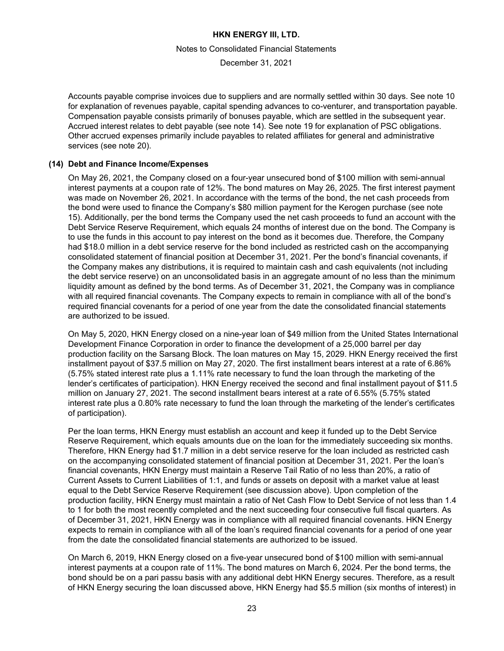#### Notes to Consolidated Financial Statements

December 31, 2021

Accounts payable comprise invoices due to suppliers and are normally settled within 30 days. See note 10 for explanation of revenues payable, capital spending advances to co-venturer, and transportation payable. Compensation payable consists primarily of bonuses payable, which are settled in the subsequent year. Accrued interest relates to debt payable (see note 14). See note 19 for explanation of PSC obligations. Other accrued expenses primarily include payables to related affiliates for general and administrative services (see note 20).

### **(14) Debt and Finance Income/Expenses**

On May 26, 2021, the Company closed on a four-year unsecured bond of \$100 million with semi-annual interest payments at a coupon rate of 12%. The bond matures on May 26, 2025. The first interest payment was made on November 26, 2021. In accordance with the terms of the bond, the net cash proceeds from the bond were used to finance the Company's \$80 million payment for the Kerogen purchase (see note 15). Additionally, per the bond terms the Company used the net cash proceeds to fund an account with the Debt Service Reserve Requirement, which equals 24 months of interest due on the bond. The Company is to use the funds in this account to pay interest on the bond as it becomes due. Therefore, the Company had \$18.0 million in a debt service reserve for the bond included as restricted cash on the accompanying consolidated statement of financial position at December 31, 2021. Per the bond's financial covenants, if the Company makes any distributions, it is required to maintain cash and cash equivalents (not including the debt service reserve) on an unconsolidated basis in an aggregate amount of no less than the minimum liquidity amount as defined by the bond terms. As of December 31, 2021, the Company was in compliance with all required financial covenants. The Company expects to remain in compliance with all of the bond's required financial covenants for a period of one year from the date the consolidated financial statements are authorized to be issued.

On May 5, 2020, HKN Energy closed on a nine-year loan of \$49 million from the United States International Development Finance Corporation in order to finance the development of a 25,000 barrel per day production facility on the Sarsang Block. The loan matures on May 15, 2029. HKN Energy received the first installment payout of \$37.5 million on May 27, 2020. The first installment bears interest at a rate of 6.86% (5.75% stated interest rate plus a 1.11% rate necessary to fund the loan through the marketing of the lender's certificates of participation). HKN Energy received the second and final installment payout of \$11.5 million on January 27, 2021. The second installment bears interest at a rate of 6.55% (5.75% stated interest rate plus a 0.80% rate necessary to fund the loan through the marketing of the lender's certificates of participation).

Per the loan terms, HKN Energy must establish an account and keep it funded up to the Debt Service Reserve Requirement, which equals amounts due on the loan for the immediately succeeding six months. Therefore, HKN Energy had \$1.7 million in a debt service reserve for the loan included as restricted cash on the accompanying consolidated statement of financial position at December 31, 2021. Per the loan's financial covenants, HKN Energy must maintain a Reserve Tail Ratio of no less than 20%, a ratio of Current Assets to Current Liabilities of 1:1, and funds or assets on deposit with a market value at least equal to the Debt Service Reserve Requirement (see discussion above). Upon completion of the production facility, HKN Energy must maintain a ratio of Net Cash Flow to Debt Service of not less than 1.4 to 1 for both the most recently completed and the next succeeding four consecutive full fiscal quarters. As of December 31, 2021, HKN Energy was in compliance with all required financial covenants. HKN Energy expects to remain in compliance with all of the loan's required financial covenants for a period of one year from the date the consolidated financial statements are authorized to be issued.

On March 6, 2019, HKN Energy closed on a five-year unsecured bond of \$100 million with semi-annual interest payments at a coupon rate of 11%. The bond matures on March 6, 2024. Per the bond terms, the bond should be on a pari passu basis with any additional debt HKN Energy secures. Therefore, as a result of HKN Energy securing the loan discussed above, HKN Energy had \$5.5 million (six months of interest) in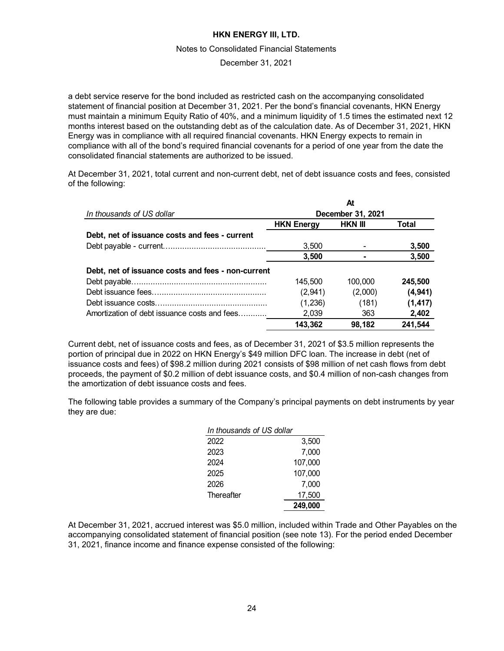#### Notes to Consolidated Financial Statements

December 31, 2021

a debt service reserve for the bond included as restricted cash on the accompanying consolidated statement of financial position at December 31, 2021. Per the bond's financial covenants, HKN Energy must maintain a minimum Equity Ratio of 40%, and a minimum liquidity of 1.5 times the estimated next 12 months interest based on the outstanding debt as of the calculation date. As of December 31, 2021, HKN Energy was in compliance with all required financial covenants. HKN Energy expects to remain in compliance with all of the bond's required financial covenants for a period of one year from the date the consolidated financial statements are authorized to be issued.

At December 31, 2021, total current and non-current debt, net of debt issuance costs and fees, consisted of the following:

|                                                    |                   | At             |          |
|----------------------------------------------------|-------------------|----------------|----------|
| In thousands of US dollar                          | December 31, 2021 |                |          |
|                                                    | <b>HKN Energy</b> | <b>HKN III</b> | Total    |
| Debt, net of issuance costs and fees - current     |                   |                |          |
|                                                    | 3,500             |                | 3,500    |
|                                                    | 3,500             |                | 3,500    |
| Debt, net of issuance costs and fees - non-current |                   |                |          |
|                                                    | 145,500           | 100.000        | 245,500  |
|                                                    | (2,941)           | (2,000)        | (4, 941) |
|                                                    | (1,236)           | (181)          | (1, 417) |
| Amortization of debt issuance costs and fees       | 2,039             | 363            | 2,402    |
|                                                    | 143,362           | 98.182         | 241,544  |

Current debt, net of issuance costs and fees, as of December 31, 2021 of \$3.5 million represents the portion of principal due in 2022 on HKN Energy's \$49 million DFC loan. The increase in debt (net of issuance costs and fees) of \$98.2 million during 2021 consists of \$98 million of net cash flows from debt proceeds, the payment of \$0.2 million of debt issuance costs, and \$0.4 million of non-cash changes from the amortization of debt issuance costs and fees.

The following table provides a summary of the Company's principal payments on debt instruments by year they are due:

| In thousands of US dollar |         |
|---------------------------|---------|
| 2022                      | 3,500   |
| 2023                      | 7,000   |
| 2024                      | 107,000 |
| 2025                      | 107,000 |
| 2026                      | 7,000   |
| Thereafter                | 17,500  |
|                           | 249,000 |

At December 31, 2021, accrued interest was \$5.0 million, included within Trade and Other Payables on the accompanying consolidated statement of financial position (see note 13). For the period ended December 31, 2021, finance income and finance expense consisted of the following: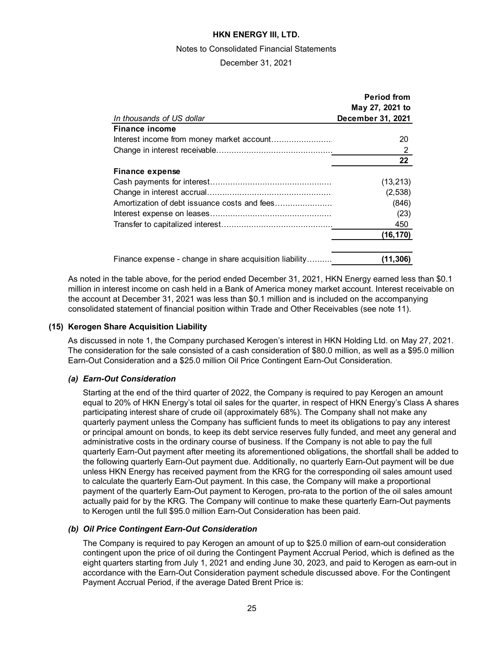#### Notes to Consolidated Financial Statements

December 31, 2021

|                                                         | <b>Period from</b> |
|---------------------------------------------------------|--------------------|
|                                                         | May 27, 2021 to    |
| In thousands of US dollar                               | December 31, 2021  |
| <b>Finance income</b>                                   |                    |
|                                                         | 20                 |
|                                                         | 2                  |
|                                                         | 22                 |
| Finance expense                                         |                    |
|                                                         | (13, 213)          |
|                                                         | (2,538)            |
| Amortization of debt issuance costs and fees            | (846)              |
|                                                         | (23)               |
|                                                         | 450                |
|                                                         | (16,170)           |
| Finance expense - change in share acquisition liability | (11,306)           |

As noted in the table above, for the period ended December 31, 2021, HKN Energy earned less than \$0.1 million in interest income on cash held in a Bank of America money market account. Interest receivable on the account at December 31, 2021 was less than \$0.1 million and is included on the accompanying consolidated statement of financial position within Trade and Other Receivables (see note 11).

### **(15) Kerogen Share Acquisition Liability**

As discussed in note 1, the Company purchased Kerogen's interest in HKN Holding Ltd. on May 27, 2021. The consideration for the sale consisted of a cash consideration of \$80.0 million, as well as a \$95.0 million Earn-Out Consideration and a \$25.0 million Oil Price Contingent Earn-Out Consideration.

# *(a) Earn-Out Consideration*

Starting at the end of the third quarter of 2022, the Company is required to pay Kerogen an amount equal to 20% of HKN Energy's total oil sales for the quarter, in respect of HKN Energy's Class A shares participating interest share of crude oil (approximately 68%). The Company shall not make any quarterly payment unless the Company has sufficient funds to meet its obligations to pay any interest or principal amount on bonds, to keep its debt service reserves fully funded, and meet any general and administrative costs in the ordinary course of business. If the Company is not able to pay the full quarterly Earn-Out payment after meeting its aforementioned obligations, the shortfall shall be added to the following quarterly Earn-Out payment due. Additionally, no quarterly Earn-Out payment will be due unless HKN Energy has received payment from the KRG for the corresponding oil sales amount used to calculate the quarterly Earn-Out payment. In this case, the Company will make a proportional payment of the quarterly Earn-Out payment to Kerogen, pro-rata to the portion of the oil sales amount actually paid for by the KRG. The Company will continue to make these quarterly Earn-Out payments to Kerogen until the full \$95.0 million Earn-Out Consideration has been paid.

# *(b) Oil Price Contingent Earn-Out Consideration*

The Company is required to pay Kerogen an amount of up to \$25.0 million of earn-out consideration contingent upon the price of oil during the Contingent Payment Accrual Period, which is defined as the eight quarters starting from July 1, 2021 and ending June 30, 2023, and paid to Kerogen as earn-out in accordance with the Earn-Out Consideration payment schedule discussed above. For the Contingent Payment Accrual Period, if the average Dated Brent Price is: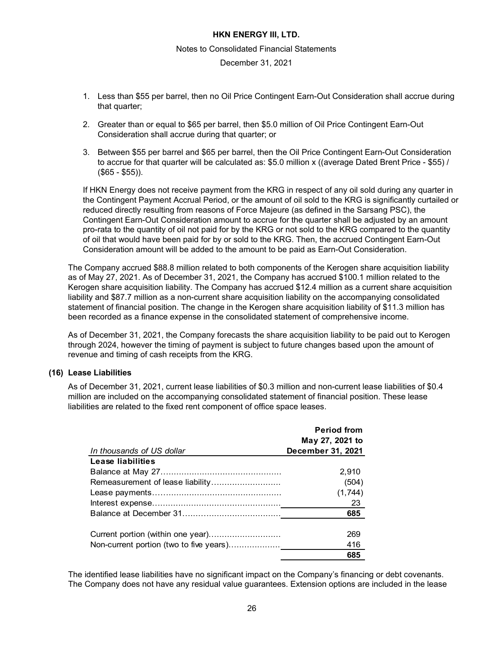#### Notes to Consolidated Financial Statements

December 31, 2021

- 1. Less than \$55 per barrel, then no Oil Price Contingent Earn-Out Consideration shall accrue during that quarter;
- 2. Greater than or equal to \$65 per barrel, then \$5.0 million of Oil Price Contingent Earn-Out Consideration shall accrue during that quarter; or
- 3. Between \$55 per barrel and \$65 per barrel, then the Oil Price Contingent Earn-Out Consideration to accrue for that quarter will be calculated as: \$5.0 million x ((average Dated Brent Price - \$55) / (\$65 - \$55)).

If HKN Energy does not receive payment from the KRG in respect of any oil sold during any quarter in the Contingent Payment Accrual Period, or the amount of oil sold to the KRG is significantly curtailed or reduced directly resulting from reasons of Force Majeure (as defined in the Sarsang PSC), the Contingent Earn-Out Consideration amount to accrue for the quarter shall be adjusted by an amount pro-rata to the quantity of oil not paid for by the KRG or not sold to the KRG compared to the quantity of oil that would have been paid for by or sold to the KRG. Then, the accrued Contingent Earn-Out Consideration amount will be added to the amount to be paid as Earn-Out Consideration.

The Company accrued \$88.8 million related to both components of the Kerogen share acquisition liability as of May 27, 2021. As of December 31, 2021, the Company has accrued \$100.1 million related to the Kerogen share acquisition liability. The Company has accrued \$12.4 million as a current share acquisition liability and \$87.7 million as a non-current share acquisition liability on the accompanying consolidated statement of financial position. The change in the Kerogen share acquisition liability of \$11.3 million has been recorded as a finance expense in the consolidated statement of comprehensive income.

As of December 31, 2021, the Company forecasts the share acquisition liability to be paid out to Kerogen through 2024, however the timing of payment is subject to future changes based upon the amount of revenue and timing of cash receipts from the KRG.

# **(16) Lease Liabilities**

As of December 31, 2021, current lease liabilities of \$0.3 million and non-current lease liabilities of \$0.4 million are included on the accompanying consolidated statement of financial position. These lease liabilities are related to the fixed rent component of office space leases.

|                           | <b>Period from</b> |
|---------------------------|--------------------|
|                           | May 27, 2021 to    |
| In thousands of US dollar | December 31, 2021  |
| Lease liabilities         |                    |
|                           | 2.910              |
|                           | (504)              |
|                           | (1,744)            |
|                           | 23                 |
|                           | 685                |
|                           |                    |
|                           | 269                |
|                           | 416                |
|                           | 685                |

The identified lease liabilities have no significant impact on the Company's financing or debt covenants. The Company does not have any residual value guarantees. Extension options are included in the lease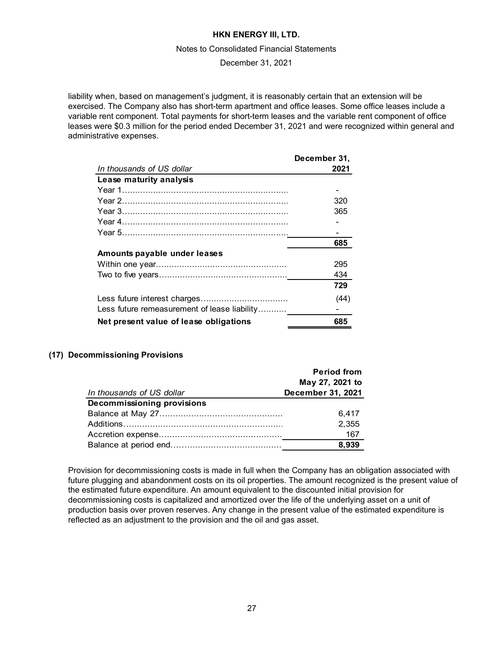#### Notes to Consolidated Financial Statements

### December 31, 2021

liability when, based on management's judgment, it is reasonably certain that an extension will be exercised. The Company also has short-term apartment and office leases. Some office leases include a variable rent component. Total payments for short-term leases and the variable rent component of office leases were \$0.3 million for the period ended December 31, 2021 and were recognized within general and administrative expenses.

|                                              | December 31, |
|----------------------------------------------|--------------|
| In thousands of US dollar                    | 2021         |
| Lease maturity analysis                      |              |
|                                              |              |
|                                              | 320          |
|                                              | 365          |
|                                              |              |
|                                              |              |
|                                              | 685          |
| Amounts payable under leases                 |              |
|                                              | 295          |
|                                              | 434          |
|                                              | 729          |
|                                              | (44)         |
| Less future remeasurement of lease liability |              |
| Net present value of lease obligations       | 685          |

# **(17) Decommissioning Provisions**

|                                   | <b>Period from</b> |
|-----------------------------------|--------------------|
|                                   | May 27, 2021 to    |
| In thousands of US dollar         | December 31, 2021  |
| <b>Decommissioning provisions</b> |                    |
|                                   | 6.417              |
|                                   | 2,355              |
|                                   | 167                |
|                                   | 8,939              |

Provision for decommissioning costs is made in full when the Company has an obligation associated with future plugging and abandonment costs on its oil properties. The amount recognized is the present value of the estimated future expenditure. An amount equivalent to the discounted initial provision for decommissioning costs is capitalized and amortized over the life of the underlying asset on a unit of production basis over proven reserves. Any change in the present value of the estimated expenditure is reflected as an adjustment to the provision and the oil and gas asset.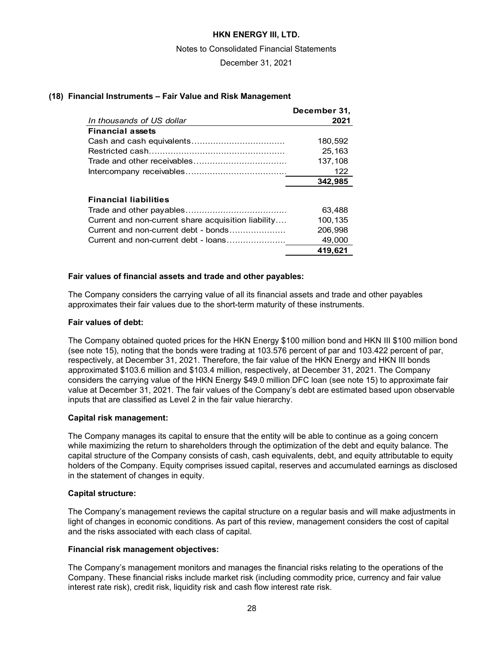Notes to Consolidated Financial Statements

December 31, 2021

### **(18) Financial Instruments – Fair Value and Risk Management**

| December 31, |
|--------------|
| 2021         |
|              |
| 180.592      |
| 25,163       |
| 137,108      |
| 122          |
| 342.985      |
|              |

### **Financial liabilities**

|                                                     | 63.488  |
|-----------------------------------------------------|---------|
| Current and non-current share acquisition liability | 100.135 |
| Current and non-current debt - bonds                | 206.998 |
| Current and non-current debt - loans                | 49.000  |
|                                                     | 419,621 |

#### **Fair values of financial assets and trade and other payables:**

The Company considers the carrying value of all its financial assets and trade and other payables approximates their fair values due to the short-term maturity of these instruments.

### **Fair values of debt:**

The Company obtained quoted prices for the HKN Energy \$100 million bond and HKN III \$100 million bond (see note 15), noting that the bonds were trading at 103.576 percent of par and 103.422 percent of par, respectively, at December 31, 2021. Therefore, the fair value of the HKN Energy and HKN III bonds approximated \$103.6 million and \$103.4 million, respectively, at December 31, 2021. The Company considers the carrying value of the HKN Energy \$49.0 million DFC loan (see note 15) to approximate fair value at December 31, 2021. The fair values of the Company's debt are estimated based upon observable inputs that are classified as Level 2 in the fair value hierarchy.

# **Capital risk management:**

The Company manages its capital to ensure that the entity will be able to continue as a going concern while maximizing the return to shareholders through the optimization of the debt and equity balance. The capital structure of the Company consists of cash, cash equivalents, debt, and equity attributable to equity holders of the Company. Equity comprises issued capital, reserves and accumulated earnings as disclosed in the statement of changes in equity.

#### **Capital structure:**

The Company's management reviews the capital structure on a regular basis and will make adjustments in light of changes in economic conditions. As part of this review, management considers the cost of capital and the risks associated with each class of capital.

#### **Financial risk management objectives:**

The Company's management monitors and manages the financial risks relating to the operations of the Company. These financial risks include market risk (including commodity price, currency and fair value interest rate risk), credit risk, liquidity risk and cash flow interest rate risk.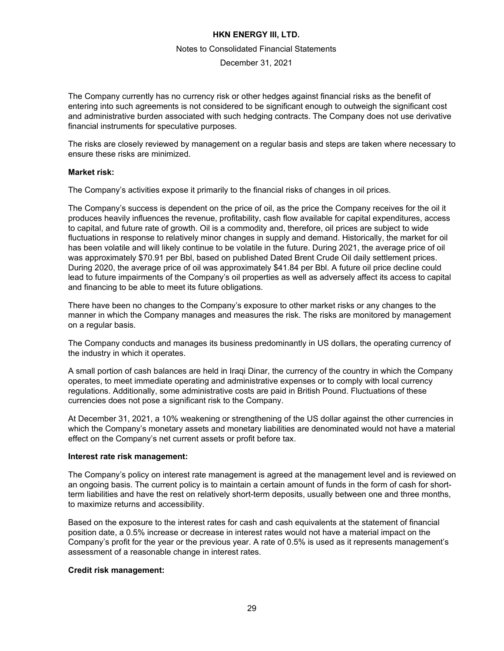#### Notes to Consolidated Financial Statements

December 31, 2021

The Company currently has no currency risk or other hedges against financial risks as the benefit of entering into such agreements is not considered to be significant enough to outweigh the significant cost and administrative burden associated with such hedging contracts. The Company does not use derivative financial instruments for speculative purposes.

The risks are closely reviewed by management on a regular basis and steps are taken where necessary to ensure these risks are minimized.

#### **Market risk:**

The Company's activities expose it primarily to the financial risks of changes in oil prices.

The Company's success is dependent on the price of oil, as the price the Company receives for the oil it produces heavily influences the revenue, profitability, cash flow available for capital expenditures, access to capital, and future rate of growth. Oil is a commodity and, therefore, oil prices are subject to wide fluctuations in response to relatively minor changes in supply and demand. Historically, the market for oil has been volatile and will likely continue to be volatile in the future. During 2021, the average price of oil was approximately \$70.91 per Bbl, based on published Dated Brent Crude Oil daily settlement prices. During 2020, the average price of oil was approximately \$41.84 per Bbl. A future oil price decline could lead to future impairments of the Company's oil properties as well as adversely affect its access to capital and financing to be able to meet its future obligations.

There have been no changes to the Company's exposure to other market risks or any changes to the manner in which the Company manages and measures the risk. The risks are monitored by management on a regular basis.

The Company conducts and manages its business predominantly in US dollars, the operating currency of the industry in which it operates.

A small portion of cash balances are held in Iraqi Dinar, the currency of the country in which the Company operates, to meet immediate operating and administrative expenses or to comply with local currency regulations. Additionally, some administrative costs are paid in British Pound. Fluctuations of these currencies does not pose a significant risk to the Company.

At December 31, 2021, a 10% weakening or strengthening of the US dollar against the other currencies in which the Company's monetary assets and monetary liabilities are denominated would not have a material effect on the Company's net current assets or profit before tax.

#### **Interest rate risk management:**

The Company's policy on interest rate management is agreed at the management level and is reviewed on an ongoing basis. The current policy is to maintain a certain amount of funds in the form of cash for shortterm liabilities and have the rest on relatively short-term deposits, usually between one and three months, to maximize returns and accessibility.

Based on the exposure to the interest rates for cash and cash equivalents at the statement of financial position date, a 0.5% increase or decrease in interest rates would not have a material impact on the Company's profit for the year or the previous year. A rate of 0.5% is used as it represents management's assessment of a reasonable change in interest rates.

#### **Credit risk management:**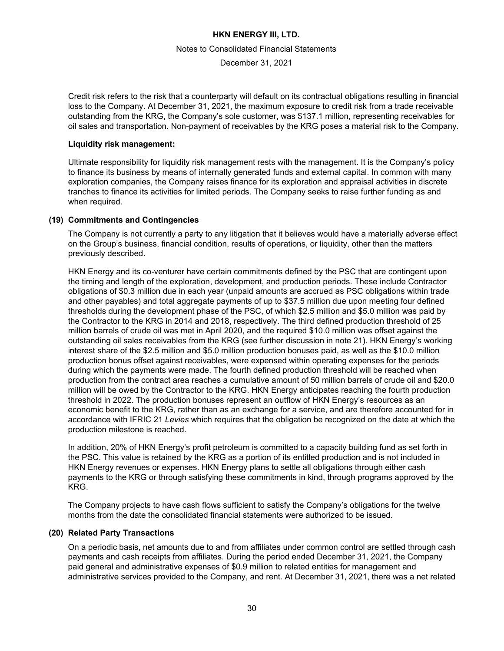#### Notes to Consolidated Financial Statements

December 31, 2021

Credit risk refers to the risk that a counterparty will default on its contractual obligations resulting in financial loss to the Company. At December 31, 2021, the maximum exposure to credit risk from a trade receivable outstanding from the KRG, the Company's sole customer, was \$137.1 million, representing receivables for oil sales and transportation. Non-payment of receivables by the KRG poses a material risk to the Company.

### **Liquidity risk management:**

Ultimate responsibility for liquidity risk management rests with the management. It is the Company's policy to finance its business by means of internally generated funds and external capital. In common with many exploration companies, the Company raises finance for its exploration and appraisal activities in discrete tranches to finance its activities for limited periods. The Company seeks to raise further funding as and when required.

### **(19) Commitments and Contingencies**

The Company is not currently a party to any litigation that it believes would have a materially adverse effect on the Group's business, financial condition, results of operations, or liquidity, other than the matters previously described.

HKN Energy and its co-venturer have certain commitments defined by the PSC that are contingent upon the timing and length of the exploration, development, and production periods. These include Contractor obligations of \$0.3 million due in each year (unpaid amounts are accrued as PSC obligations within trade and other payables) and total aggregate payments of up to \$37.5 million due upon meeting four defined thresholds during the development phase of the PSC, of which \$2.5 million and \$5.0 million was paid by the Contractor to the KRG in 2014 and 2018, respectively. The third defined production threshold of 25 million barrels of crude oil was met in April 2020, and the required \$10.0 million was offset against the outstanding oil sales receivables from the KRG (see further discussion in note 21). HKN Energy's working interest share of the \$2.5 million and \$5.0 million production bonuses paid, as well as the \$10.0 million production bonus offset against receivables, were expensed within operating expenses for the periods during which the payments were made. The fourth defined production threshold will be reached when production from the contract area reaches a cumulative amount of 50 million barrels of crude oil and \$20.0 million will be owed by the Contractor to the KRG. HKN Energy anticipates reaching the fourth production threshold in 2022. The production bonuses represent an outflow of HKN Energy's resources as an economic benefit to the KRG, rather than as an exchange for a service, and are therefore accounted for in accordance with IFRIC 21 *Levies* which requires that the obligation be recognized on the date at which the production milestone is reached.

In addition, 20% of HKN Energy's profit petroleum is committed to a capacity building fund as set forth in the PSC. This value is retained by the KRG as a portion of its entitled production and is not included in HKN Energy revenues or expenses. HKN Energy plans to settle all obligations through either cash payments to the KRG or through satisfying these commitments in kind, through programs approved by the KRG.

The Company projects to have cash flows sufficient to satisfy the Company's obligations for the twelve months from the date the consolidated financial statements were authorized to be issued.

# **(20) Related Party Transactions**

On a periodic basis, net amounts due to and from affiliates under common control are settled through cash payments and cash receipts from affiliates. During the period ended December 31, 2021, the Company paid general and administrative expenses of \$0.9 million to related entities for management and administrative services provided to the Company, and rent. At December 31, 2021, there was a net related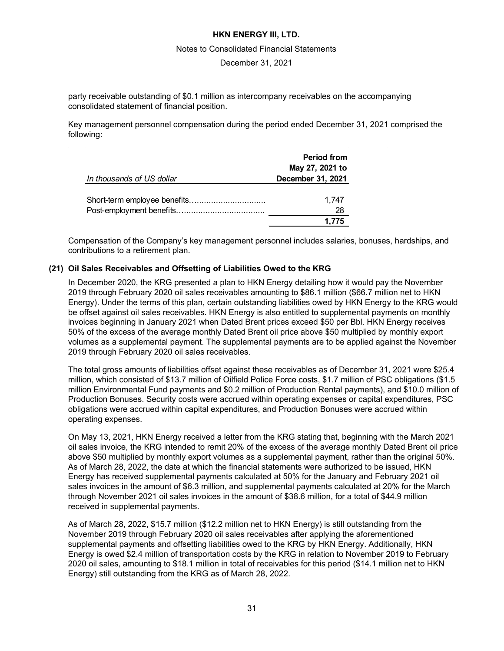#### Notes to Consolidated Financial Statements

December 31, 2021

party receivable outstanding of \$0.1 million as intercompany receivables on the accompanying consolidated statement of financial position.

Key management personnel compensation during the period ended December 31, 2021 comprised the following:

| In thousands of US dollar | <b>Period from</b><br>May 27, 2021 to<br>December 31, 2021 |
|---------------------------|------------------------------------------------------------|
|                           | 1.747<br>28                                                |
|                           | 1.775                                                      |

Compensation of the Company's key management personnel includes salaries, bonuses, hardships, and contributions to a retirement plan.

### **(21) Oil Sales Receivables and Offsetting of Liabilities Owed to the KRG**

In December 2020, the KRG presented a plan to HKN Energy detailing how it would pay the November 2019 through February 2020 oil sales receivables amounting to \$86.1 million (\$66.7 million net to HKN Energy). Under the terms of this plan, certain outstanding liabilities owed by HKN Energy to the KRG would be offset against oil sales receivables. HKN Energy is also entitled to supplemental payments on monthly invoices beginning in January 2021 when Dated Brent prices exceed \$50 per Bbl. HKN Energy receives 50% of the excess of the average monthly Dated Brent oil price above \$50 multiplied by monthly export volumes as a supplemental payment. The supplemental payments are to be applied against the November 2019 through February 2020 oil sales receivables.

The total gross amounts of liabilities offset against these receivables as of December 31, 2021 were \$25.4 million, which consisted of \$13.7 million of Oilfield Police Force costs, \$1.7 million of PSC obligations (\$1.5 million Environmental Fund payments and \$0.2 million of Production Rental payments), and \$10.0 million of Production Bonuses. Security costs were accrued within operating expenses or capital expenditures, PSC obligations were accrued within capital expenditures, and Production Bonuses were accrued within operating expenses.

On May 13, 2021, HKN Energy received a letter from the KRG stating that, beginning with the March 2021 oil sales invoice, the KRG intended to remit 20% of the excess of the average monthly Dated Brent oil price above \$50 multiplied by monthly export volumes as a supplemental payment, rather than the original 50%. As of March 28, 2022, the date at which the financial statements were authorized to be issued, HKN Energy has received supplemental payments calculated at 50% for the January and February 2021 oil sales invoices in the amount of \$6.3 million, and supplemental payments calculated at 20% for the March through November 2021 oil sales invoices in the amount of \$38.6 million, for a total of \$44.9 million received in supplemental payments.

As of March 28, 2022, \$15.7 million (\$12.2 million net to HKN Energy) is still outstanding from the November 2019 through February 2020 oil sales receivables after applying the aforementioned supplemental payments and offsetting liabilities owed to the KRG by HKN Energy. Additionally, HKN Energy is owed \$2.4 million of transportation costs by the KRG in relation to November 2019 to February 2020 oil sales, amounting to \$18.1 million in total of receivables for this period (\$14.1 million net to HKN Energy) still outstanding from the KRG as of March 28, 2022.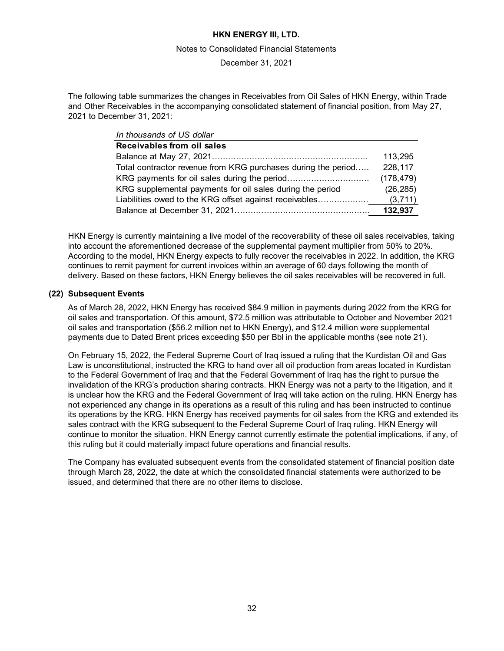#### Notes to Consolidated Financial Statements

December 31, 2021

The following table summarizes the changes in Receivables from Oil Sales of HKN Energy, within Trade and Other Receivables in the accompanying consolidated statement of financial position, from May 27, 2021 to December 31, 2021:

| In thousands of US dollar                                     |            |
|---------------------------------------------------------------|------------|
| Receivables from oil sales                                    |            |
|                                                               | 113,295    |
| Total contractor revenue from KRG purchases during the period | 228,117    |
|                                                               | (178, 479) |
| KRG supplemental payments for oil sales during the period     | (26, 285)  |
| Liabilities owed to the KRG offset against receivables        | (3,711)    |
|                                                               | 132,937    |

HKN Energy is currently maintaining a live model of the recoverability of these oil sales receivables, taking into account the aforementioned decrease of the supplemental payment multiplier from 50% to 20%. According to the model, HKN Energy expects to fully recover the receivables in 2022. In addition, the KRG continues to remit payment for current invoices within an average of 60 days following the month of delivery. Based on these factors, HKN Energy believes the oil sales receivables will be recovered in full.

#### **(22) Subsequent Events**

As of March 28, 2022, HKN Energy has received \$84.9 million in payments during 2022 from the KRG for oil sales and transportation. Of this amount, \$72.5 million was attributable to October and November 2021 oil sales and transportation (\$56.2 million net to HKN Energy), and \$12.4 million were supplemental payments due to Dated Brent prices exceeding \$50 per Bbl in the applicable months (see note 21).

On February 15, 2022, the Federal Supreme Court of Iraq issued a ruling that the Kurdistan Oil and Gas Law is unconstitutional, instructed the KRG to hand over all oil production from areas located in Kurdistan to the Federal Government of Iraq and that the Federal Government of Iraq has the right to pursue the invalidation of the KRG's production sharing contracts. HKN Energy was not a party to the litigation, and it is unclear how the KRG and the Federal Government of Iraq will take action on the ruling. HKN Energy has not experienced any change in its operations as a result of this ruling and has been instructed to continue its operations by the KRG. HKN Energy has received payments for oil sales from the KRG and extended its sales contract with the KRG subsequent to the Federal Supreme Court of Iraq ruling. HKN Energy will continue to monitor the situation. HKN Energy cannot currently estimate the potential implications, if any, of this ruling but it could materially impact future operations and financial results.

The Company has evaluated subsequent events from the consolidated statement of financial position date through March 28, 2022, the date at which the consolidated financial statements were authorized to be issued, and determined that there are no other items to disclose.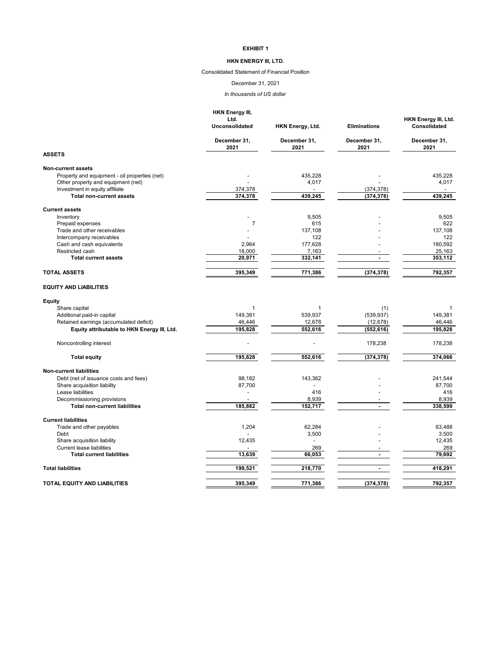#### **HKN ENERGY III, LTD.**

Consolidated Statement of Financial Position

#### December 31, 2021

*In thousands of US dollar*

|                                                                    | <b>HKN Energy III,</b><br>Ltd.<br><b>Unconsolidated</b> | HKN Energy, Ltd.          | <b>Eliminations</b>  | HKN Energy III, Ltd.<br>Consolidated |
|--------------------------------------------------------------------|---------------------------------------------------------|---------------------------|----------------------|--------------------------------------|
|                                                                    | December 31,<br>2021                                    | December 31,<br>2021      | December 31,<br>2021 | December 31,<br>2021                 |
| <b>ASSETS</b>                                                      |                                                         |                           |                      |                                      |
| <b>Non-current assets</b>                                          |                                                         |                           |                      |                                      |
| Property and equipment - oil properties (net)                      |                                                         | 435,228                   |                      | 435,228                              |
| Other property and equipment (net)                                 |                                                         | 4,017                     |                      | 4,017                                |
| Investment in equity affiliate                                     | 374.378                                                 |                           | (374, 378)           |                                      |
| <b>Total non-current assets</b>                                    | 374,378                                                 | 439,245                   | (374, 378)           | 439,245                              |
| <b>Current assets</b>                                              |                                                         |                           |                      |                                      |
| Inventory                                                          |                                                         | 9,505                     |                      | 9.505                                |
| Prepaid expenses                                                   | 7                                                       | 615                       |                      | 622                                  |
| Trade and other receivables                                        |                                                         | 137,108                   |                      | 137,108                              |
| Intercompany receivables                                           |                                                         | 122                       |                      | 122                                  |
| Cash and cash equivalents                                          | 2.964                                                   | 177,628                   |                      | 180.592                              |
| Restricted cash                                                    | 18,000                                                  | 7,163                     |                      | 25,163                               |
| <b>Total current assets</b>                                        | 20,971                                                  | 332,141                   | ÷                    | 353,112                              |
| <b>TOTAL ASSETS</b>                                                | 395,349                                                 | 771,386                   | (374, 378)           | 792,357                              |
|                                                                    |                                                         |                           |                      |                                      |
| <b>EQUITY AND LIABILITIES</b>                                      |                                                         |                           |                      |                                      |
| <b>Equity</b>                                                      |                                                         |                           |                      |                                      |
| Share capital                                                      | 1                                                       | 1                         | (1)                  |                                      |
| Additional paid-in capital                                         | 149.381                                                 | 539.937                   | (539, 937)           | 149.381                              |
| Retained earnings (accumulated deficit)                            | 46,446                                                  | 12,678                    | (12, 678)            | 46,446                               |
| Equity attributable to HKN Energy III, Ltd.                        | 195,828                                                 | 552,616                   | (552, 616)           | 195.828                              |
| Noncontrolling interest                                            | $\overline{a}$                                          |                           | 178,238              | 178,238                              |
| <b>Total equity</b>                                                | 195,828                                                 | 552,616                   | (374, 378)           | 374,066                              |
|                                                                    |                                                         |                           |                      |                                      |
| <b>Non-current liabilities</b>                                     |                                                         |                           |                      |                                      |
| Debt (net of issuance costs and fees)                              | 98,182                                                  | 143,362<br>$\overline{a}$ |                      | 241,544                              |
| Share acquisition liability                                        | 87,700                                                  |                           |                      | 87,700                               |
| Lease liabilities                                                  | L.                                                      | 416                       |                      | 416                                  |
| Decommissioning provisions<br><b>Total non-current liabilities</b> | 185,882                                                 | 8,939<br>152,717          |                      | 8,939<br>338,599                     |
|                                                                    |                                                         |                           |                      |                                      |
| <b>Current liabilities</b>                                         |                                                         |                           |                      |                                      |
| Trade and other payables                                           | 1,204                                                   | 62.284                    |                      | 63.488                               |
| Debt                                                               |                                                         | 3,500                     |                      | 3,500                                |
| Share acquisition liability                                        | 12,435                                                  | $\blacksquare$            |                      | 12,435                               |
| <b>Current lease liabilities</b>                                   |                                                         | 269                       |                      | 269                                  |
| <b>Total current liabilities</b>                                   | 13,639                                                  | 66,053                    | ÷                    | 79,692                               |
| <b>Total liabilities</b>                                           | 199,521                                                 | 218,770                   | $\mathbf{r}$         | 418,291                              |
| <b>TOTAL EQUITY AND LIABILITIES</b>                                | 395.349                                                 | 771.386                   | (374, 378)           | 792.357                              |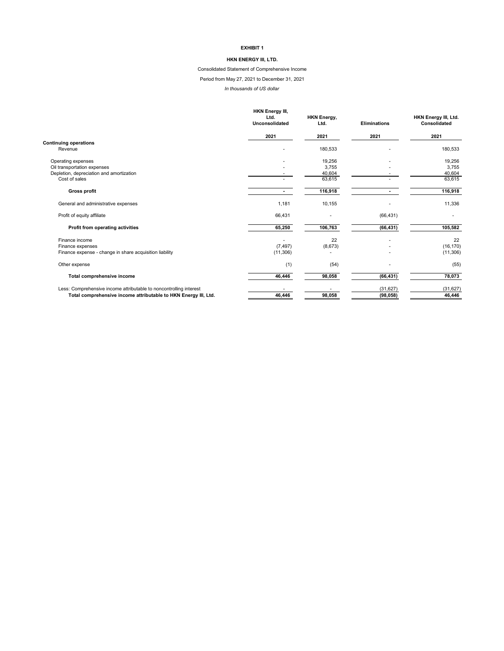#### **HKN ENERGY III, LTD.**

Consolidated Statement of Comprehensive Income

Period from May 27, 2021 to December 31, 2021

*In thousands of US dollar*

|                                                                                                                                       | <b>HKN Energy III,</b><br>Ltd.<br><b>Unconsolidated</b> | <b>HKN Energy,</b><br>Ltd. | <b>Eliminations</b>    | HKN Energy III, Ltd.<br>Consolidated |
|---------------------------------------------------------------------------------------------------------------------------------------|---------------------------------------------------------|----------------------------|------------------------|--------------------------------------|
|                                                                                                                                       | 2021                                                    | 2021                       | 2021                   | 2021                                 |
| <b>Continuing operations</b><br>Revenue                                                                                               |                                                         | 180,533                    |                        | 180,533                              |
| Operating expenses<br>Oil transportation expenses                                                                                     |                                                         | 19,256<br>3,755            |                        | 19,256<br>3,755                      |
| Depletion, depreciation and amortization<br>Cost of sales                                                                             |                                                         | 40,604<br>63,615           |                        | 40,604<br>63,615                     |
| <b>Gross profit</b>                                                                                                                   |                                                         | 116,918                    |                        | 116,918                              |
| General and administrative expenses                                                                                                   | 1,181                                                   | 10,155                     |                        | 11,336                               |
| Profit of equity affiliate                                                                                                            | 66,431                                                  |                            | (66, 431)              |                                      |
| Profit from operating activities                                                                                                      | 65,250                                                  | 106,763                    | (66, 431)              | 105,582                              |
| Finance income                                                                                                                        |                                                         | 22                         |                        | 22                                   |
| Finance expenses<br>Finance expense - change in share acquisition liability                                                           | (7, 497)<br>(11, 306)                                   | (8,673)                    |                        | (16, 170)<br>(11, 306)               |
| Other expense                                                                                                                         | (1)                                                     | (54)                       |                        | (55)                                 |
| Total comprehensive income                                                                                                            | 46,446                                                  | 98,058                     | (66, 431)              | 78,073                               |
| Less: Comprehensive income attributable to noncontrolling interest<br>Total comprehensive income attributable to HKN Energy III, Ltd. | 46,446                                                  | 98,058                     | (31, 627)<br>(98, 058) | (31, 627)<br>46,446                  |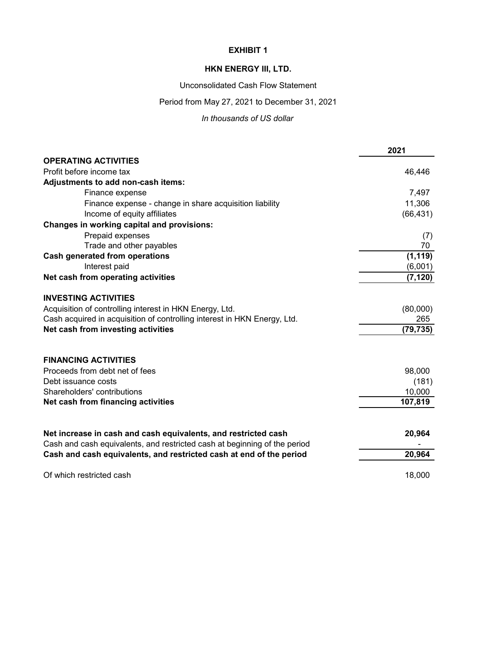# **HKN ENERGY III, LTD.**

Unconsolidated Cash Flow Statement

# Period from May 27, 2021 to December 31, 2021

*In thousands of US dollar*

|                                                                                                                                                  | 2021      |
|--------------------------------------------------------------------------------------------------------------------------------------------------|-----------|
| <b>OPERATING ACTIVITIES</b>                                                                                                                      |           |
| Profit before income tax                                                                                                                         | 46,446    |
| Adjustments to add non-cash items:                                                                                                               |           |
| Finance expense                                                                                                                                  | 7,497     |
| Finance expense - change in share acquisition liability                                                                                          | 11,306    |
| Income of equity affiliates                                                                                                                      | (66, 431) |
| Changes in working capital and provisions:                                                                                                       |           |
| Prepaid expenses                                                                                                                                 | (7)       |
| Trade and other payables                                                                                                                         | 70        |
| <b>Cash generated from operations</b>                                                                                                            | (1, 119)  |
| Interest paid                                                                                                                                    | (6,001)   |
| Net cash from operating activities                                                                                                               | (7, 120)  |
| <b>INVESTING ACTIVITIES</b>                                                                                                                      |           |
| Acquisition of controlling interest in HKN Energy, Ltd.                                                                                          | (80,000)  |
| Cash acquired in acquisition of controlling interest in HKN Energy, Ltd.                                                                         | 265       |
| Net cash from investing activities                                                                                                               | (79, 735) |
|                                                                                                                                                  |           |
| <b>FINANCING ACTIVITIES</b>                                                                                                                      |           |
| Proceeds from debt net of fees                                                                                                                   | 98,000    |
| Debt issuance costs                                                                                                                              | (181)     |
| Shareholders' contributions                                                                                                                      | 10,000    |
| Net cash from financing activities                                                                                                               | 107,819   |
| Net increase in cash and cash equivalents, and restricted cash                                                                                   | 20,964    |
| Cash and cash equivalents, and restricted cash at beginning of the period<br>Cash and cash equivalents, and restricted cash at end of the period | 20,964    |
|                                                                                                                                                  |           |
| Of which restricted cash                                                                                                                         | 18,000    |